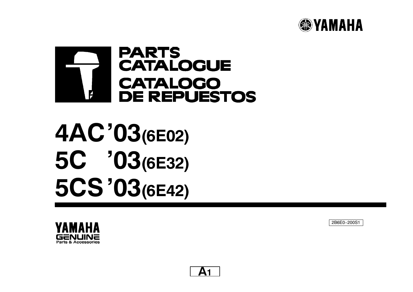



**4ACí03(6E02) 5C í03(6E32) 5CSí03(6E42)**





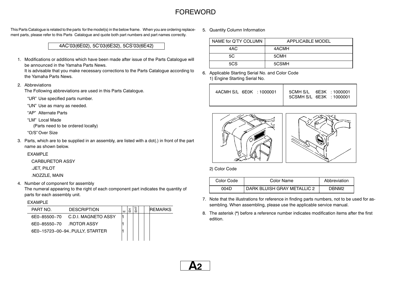### **FOREWORD**

This Parts Catalogue is related to the parts for the model(s) in the below frame. When you are ordering replacement parts, please refer to this Parts Catalogue and quote both part numbers and part names correctly.

4ACí03(6E02), 5Cí03(6E32), 5CSí03(6E42)

1. Modifications or additions which have been made after issue of the Parts Catalogue will be announced in the Yamaha Parts News.

It is advisable that you make necessary corrections to the Parts Catalogue according to the Yamaha Parts News.

2. Abbreviations

The Following abbreviations are used in this Parts Catalogue.

"UR" Use specified parts number.

ìUNî Use as many as needed.

ìAPî Alternate Parts

"LM" Local Made

(Parts need to be ordered locally)

"O/S" Over Size

3. Parts, which are to be supplied in an assembly, are listed with <sup>a</sup> dot(.) in front of the part name as shown below.

#### EXAMPLE

CARBURETOR ASSY

.JET, PILOT

.NOZZLE, MAIN

4. Number of component for assembly

The numeral appearing to the right of each component part indicates the quantity of parts for each assembly unit.

#### EXAMPLE

| PART NO.     | <b>DESCRIPTION</b>            | ш |  |  | <b>REMARKS</b> |
|--------------|-------------------------------|---|--|--|----------------|
| 6F0-85500-70 | - C.D.I. MAGNETO ASSY         |   |  |  |                |
| 6F0-85550-70 | ROTOR ASSY.                   |   |  |  |                |
|              | 6E0-15723-00-94PULLY. STARTER |   |  |  |                |
|              |                               |   |  |  |                |

5. Quantity Column Information

| NAME for Q'TY COLUMN | APPI ICABI E MODEL |
|----------------------|--------------------|
| 4AC                  | 4ACMH              |
| 5C                   | 5CMH               |
| 5CS                  | 5CSMH              |

6. Applicable Starting Serial No. and Color Code 1) Engine Starting Serial No.

| 4ACMH S/L 6E0K : 1000001 | 5CMH S/L 6E3K : 1000001<br>5CSMH S/L 6E3K : 1000001 |
|--------------------------|-----------------------------------------------------|
|                          |                                                     |



2) Color Code

| Color Code | Color Name                  | Abbreviation |
|------------|-----------------------------|--------------|
| 004D       | DARK BLUISH GRAY METALLIC 2 | DRNM2        |

- 7. Note that the illustrations for reference in finding parts numbers, not to be used for assembling. When assembling, please use the applicable service manual.
- 8. The asterisk  $(*)$  before a reference number indicates modification items after the first edition.

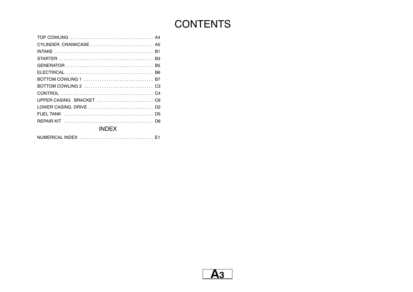# **CONTENTS**

| BOTTOM COWLING 1 <i>manufactures</i> and the service B <sub>7</sub> |
|---------------------------------------------------------------------|
|                                                                     |
|                                                                     |
|                                                                     |
|                                                                     |
|                                                                     |
|                                                                     |
| INDEX                                                               |

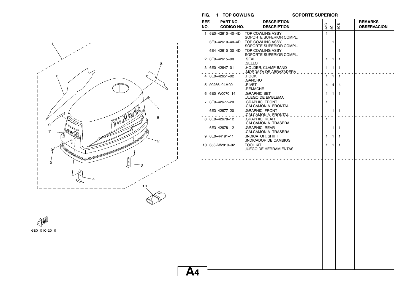**FIG. 1 TOP COWLING SOPORTE SUPERIOR**



| NO. | <b>CODIGO NO.</b><br>1 6E0-42610-40-4D<br>6E3-42610-40-4D<br>6E4-42610-30-4D<br>2 6E0-42615-00<br>3 6E0-42647-01<br>4 6E0-42651-02<br>5 90266-04M00<br>6 6E0-W0070-14 | <b>DESCRIPTION</b><br><b>TOP COWLING ASSY</b><br>SOPORTE SUPERIOR COMPL.<br><b>TOP COWLING ASSY</b><br>SOPORTE SUPERIOR COMPL.<br><b>TOP COWLING ASSY</b><br>SOPORTE SUPERIOR COMPL.<br>.SEAL<br>.SELLO<br>.HOLDER, CLAMP BAND<br>.MORDAZA DE ABRAZADERA .<br>HOOK.<br>.GANCHO<br>.RIVET | 4AC<br>$\mathbf{1}$<br>1<br>1 | 5C<br>1<br>$\mathbf{1}$ | 503<br>1<br>1 |  |  | <b>OBSERVACION</b> |  |
|-----|-----------------------------------------------------------------------------------------------------------------------------------------------------------------------|------------------------------------------------------------------------------------------------------------------------------------------------------------------------------------------------------------------------------------------------------------------------------------------|-------------------------------|-------------------------|---------------|--|--|--------------------|--|
|     |                                                                                                                                                                       |                                                                                                                                                                                                                                                                                          |                               |                         |               |  |  |                    |  |
|     |                                                                                                                                                                       |                                                                                                                                                                                                                                                                                          |                               |                         |               |  |  |                    |  |
|     |                                                                                                                                                                       |                                                                                                                                                                                                                                                                                          |                               |                         |               |  |  |                    |  |
|     |                                                                                                                                                                       |                                                                                                                                                                                                                                                                                          |                               |                         |               |  |  |                    |  |
|     |                                                                                                                                                                       |                                                                                                                                                                                                                                                                                          |                               |                         |               |  |  |                    |  |
|     |                                                                                                                                                                       |                                                                                                                                                                                                                                                                                          |                               |                         |               |  |  |                    |  |
|     |                                                                                                                                                                       |                                                                                                                                                                                                                                                                                          |                               |                         |               |  |  |                    |  |
|     |                                                                                                                                                                       |                                                                                                                                                                                                                                                                                          |                               |                         |               |  |  |                    |  |
|     |                                                                                                                                                                       |                                                                                                                                                                                                                                                                                          |                               | 1                       | 1             |  |  |                    |  |
|     |                                                                                                                                                                       |                                                                                                                                                                                                                                                                                          |                               |                         |               |  |  |                    |  |
|     |                                                                                                                                                                       |                                                                                                                                                                                                                                                                                          | 1                             | $\mathbf{1}$            | 1             |  |  |                    |  |
|     |                                                                                                                                                                       |                                                                                                                                                                                                                                                                                          |                               |                         |               |  |  |                    |  |
|     |                                                                                                                                                                       | .REMACHE                                                                                                                                                                                                                                                                                 | 4                             | 4                       | 4             |  |  |                    |  |
|     |                                                                                                                                                                       | <b>GRAPHIC SET</b>                                                                                                                                                                                                                                                                       | 1                             | $\mathbf{1}$            | 1             |  |  |                    |  |
|     |                                                                                                                                                                       | JUEGO DE EMBLEMA                                                                                                                                                                                                                                                                         |                               |                         |               |  |  |                    |  |
|     | 7 6E0-42677-20                                                                                                                                                        | .GRAPHIC, FRONT                                                                                                                                                                                                                                                                          | 1                             |                         |               |  |  |                    |  |
|     |                                                                                                                                                                       | CALCAMONIA FRONTAL                                                                                                                                                                                                                                                                       |                               |                         |               |  |  |                    |  |
|     | 6E3-42677-20                                                                                                                                                          | .GRAPHIC, FRONT                                                                                                                                                                                                                                                                          |                               | 1                       | 1             |  |  |                    |  |
|     | 8 6E0-42678-12                                                                                                                                                        | .CALCAMONIA_FRONTAL<br>.GRAPHIC, REAR                                                                                                                                                                                                                                                    | $\mathbf{1}$                  |                         |               |  |  |                    |  |
|     |                                                                                                                                                                       | CALCAMONIA TRASERA                                                                                                                                                                                                                                                                       |                               |                         |               |  |  |                    |  |
|     | 6E3-42678-12                                                                                                                                                          | .GRAPHIC, REAR                                                                                                                                                                                                                                                                           |                               | 1                       | 1             |  |  |                    |  |
|     |                                                                                                                                                                       | CALCAMONIA TRASERA                                                                                                                                                                                                                                                                       |                               |                         |               |  |  |                    |  |
|     | 9 6E0-44191-11                                                                                                                                                        | <b>INDICATOR, SHIFT</b>                                                                                                                                                                                                                                                                  | 1                             | 1                       | 1             |  |  |                    |  |
|     |                                                                                                                                                                       | INDICADOR DE CAMBIOS                                                                                                                                                                                                                                                                     |                               |                         |               |  |  |                    |  |
|     | 10 656-W2810-02                                                                                                                                                       | <b>TOOL KIT</b><br>JUEGO DE HERRAMIENTAS                                                                                                                                                                                                                                                 | 1                             | 1                       | 1             |  |  |                    |  |
|     |                                                                                                                                                                       |                                                                                                                                                                                                                                                                                          |                               |                         |               |  |  |                    |  |
|     |                                                                                                                                                                       |                                                                                                                                                                                                                                                                                          |                               |                         |               |  |  |                    |  |
|     |                                                                                                                                                                       |                                                                                                                                                                                                                                                                                          |                               |                         |               |  |  |                    |  |
|     |                                                                                                                                                                       |                                                                                                                                                                                                                                                                                          |                               |                         |               |  |  |                    |  |
|     |                                                                                                                                                                       |                                                                                                                                                                                                                                                                                          |                               |                         |               |  |  |                    |  |
|     |                                                                                                                                                                       |                                                                                                                                                                                                                                                                                          |                               |                         |               |  |  |                    |  |
|     |                                                                                                                                                                       |                                                                                                                                                                                                                                                                                          |                               |                         |               |  |  |                    |  |
|     |                                                                                                                                                                       |                                                                                                                                                                                                                                                                                          |                               |                         |               |  |  |                    |  |
|     |                                                                                                                                                                       |                                                                                                                                                                                                                                                                                          |                               |                         |               |  |  |                    |  |
|     |                                                                                                                                                                       |                                                                                                                                                                                                                                                                                          |                               |                         |               |  |  |                    |  |
|     |                                                                                                                                                                       |                                                                                                                                                                                                                                                                                          |                               |                         |               |  |  |                    |  |
|     |                                                                                                                                                                       |                                                                                                                                                                                                                                                                                          |                               |                         |               |  |  |                    |  |
|     |                                                                                                                                                                       |                                                                                                                                                                                                                                                                                          |                               |                         |               |  |  |                    |  |
|     |                                                                                                                                                                       |                                                                                                                                                                                                                                                                                          |                               |                         |               |  |  |                    |  |
|     |                                                                                                                                                                       |                                                                                                                                                                                                                                                                                          |                               |                         |               |  |  |                    |  |
|     |                                                                                                                                                                       |                                                                                                                                                                                                                                                                                          |                               |                         |               |  |  |                    |  |
|     |                                                                                                                                                                       |                                                                                                                                                                                                                                                                                          |                               |                         |               |  |  |                    |  |
|     |                                                                                                                                                                       |                                                                                                                                                                                                                                                                                          |                               |                         |               |  |  |                    |  |
|     |                                                                                                                                                                       |                                                                                                                                                                                                                                                                                          |                               |                         |               |  |  |                    |  |
|     |                                                                                                                                                                       |                                                                                                                                                                                                                                                                                          |                               |                         |               |  |  |                    |  |
|     |                                                                                                                                                                       |                                                                                                                                                                                                                                                                                          |                               |                         |               |  |  |                    |  |
|     |                                                                                                                                                                       |                                                                                                                                                                                                                                                                                          |                               |                         |               |  |  |                    |  |
|     |                                                                                                                                                                       |                                                                                                                                                                                                                                                                                          |                               |                         |               |  |  |                    |  |
|     |                                                                                                                                                                       |                                                                                                                                                                                                                                                                                          |                               |                         |               |  |  |                    |  |
|     |                                                                                                                                                                       |                                                                                                                                                                                                                                                                                          |                               |                         |               |  |  |                    |  |

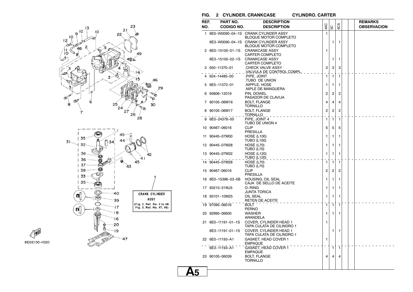

**AND** 6E02100-4020

### **FIG. 2 CYLINDER. CRANKCASE CYLINDRO. CARTER**

| REF. | PART NO.           | <b>DESCRIPTION</b>                                                 |                |              |     |  | <b>REMARKS</b>     |
|------|--------------------|--------------------------------------------------------------------|----------------|--------------|-----|--|--------------------|
| NO.  | <b>CODIGO NO.</b>  | <b>DESCRIPTION</b>                                                 | 4AC            | SC           | 503 |  | <b>OBSERVACION</b> |
|      |                    | 1 6E0-W0090-04-1S CRANK CYLINDER ASSY                              | 1              |              |     |  |                    |
|      | 6E3-W0090-04-1S    | <b>BLOQUE MOTOR COMPLETO</b><br><b>CRANK CYLINDER ASSY</b>         |                | 1            | 1   |  |                    |
|      | 2 6E0-15100-01-1S  | <b>BLOQUE MOTOR COMPLETO</b><br><b>CRANKCASE ASSY</b>              | 1              |              |     |  |                    |
|      | 6E3-15100-02-1S    | <b>CARTER COMPLETO</b><br><b>CRANKCASE ASSY</b>                    |                | 1            | 1   |  |                    |
|      | 3 650-11370-01     | <b>CARTER COMPLETO</b><br>CHECK VALVE ASSY                         | 3              | 3            | 3   |  |                    |
|      | 624–14485–00       | <u>.VALVULA DE CONTROL COMPL.</u><br>.PIPE, JOINT<br>TUBO DE UNION | 1              | 1            | 1   |  |                    |
|      | 5 6E5-11372-01     | .NIPPLE, HOSE<br>NIPLE DE MANGUERA                                 | 1              | 1            | 1   |  |                    |
|      | 6 93606-12019      | PIN, DOWEL<br>PASADOR DE CLAVIJA                                   | 2              | 2            | 2   |  |                    |
|      | 7 90105-06M16      | <b>BOLT, FLANGE</b><br><b>TORNILLO</b>                             | 4              | 4            | 4   |  |                    |
|      | 8 90105-06M17      | <b>BOLT, FLANGE</b><br><u>TORNILLO</u>                             | $\overline{2}$ | 2            | 2   |  |                    |
|      | 9 6E0-24378-00     | PIPE, JOINT 4<br>TUBO DE UNION 4                                   | 1              | 1            | 1   |  |                    |
|      | 10 90467-06016     | <b>CLIP</b><br>PRESILLA                                            | 5              | 5            | 5   |  |                    |
|      | 11 90445-07M00     | <b>HOSE (L100)</b><br><b>TUBO (L100)</b>                           | 1              | 1            | 1   |  |                    |
|      | 12 90445-07M28     | <b>HOSE (L70)</b><br><b>TUBO (L70)</b>                             | 1              | 1            | 1   |  |                    |
|      | 13 90445-07M32     | <b>HOSE (L120)</b><br>TUBO (L120)                                  | 1              | 1            | 1   |  |                    |
|      | 14 90445-07M28     | <b>HOSE (L70)</b><br><b>TUBO (L70)</b>                             | 1              | $\mathbf{1}$ | 1   |  |                    |
|      | 15 90467-06016     | <b>CLIP</b><br>PRESILLA                                            | 2              | 2            | 2   |  |                    |
|      | 16 6E0-15396-03-5B | HOUSING, OIL SEAL<br>CAJA DE SELLO DE ACEITE                       | 1              | 1            | 1   |  |                    |
|      | 17 93210-31MJ5     | O-RING<br><b>JUNTA TORICA</b>                                      | 1              | 1            | 1   |  |                    |
|      | 18 93101-10M25     | OIL SEAL<br>RETEN DE ACEITE                                        | 1              | 1            | 1   |  |                    |
|      | 19 97095-06016     | <b>BOLT</b><br><b>PERNO</b>                                        | $\mathbf{1}$   | $\mathbf{1}$ | 1   |  |                    |
|      | 20 92995-06600     | <b>WASHER</b><br>ARANDELA                                          | 1              | 1            | 1   |  |                    |
|      | 21 6E0-11191-01-1S | COVER, CYLINDER HEAD 1<br>TAPA CULATA DE CILINDRO 1                | 1              |              |     |  |                    |
|      | 6E3-11191-01-1S    | COVER, CYLINDER HEAD 1<br>TAPA CULATA DE CILINDRO 1                |                | 1            | 1   |  |                    |
|      | 22 6E0-11193-A1    | GASKET, HEAD COVER 1<br><b>EMPAQUE</b>                             | $\mathbf{1}$   |              |     |  |                    |
|      | 6E3-11193-A1       | <b>GASKET, HEAD COVER 1</b><br><b>EMPAQUE</b>                      |                | $\mathbf{1}$ | 1   |  |                    |
|      | 23 90105-06039     | <b>BOLT, FLANGE</b><br><b>TORNILLO</b>                             | 4              | 4            | 4   |  |                    |

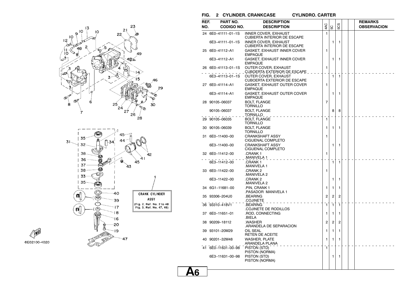

**CEND** 

6E02100-4020

### **FIG. 2 CYLINDER. CRANKCASE CYLINDRO. CARTER**

| REF.<br>NO. | PART NO.<br><b>CODIGO NO.</b> | <b>DESCRIPTION</b><br><b>DESCRIPTION</b>                                                         | 4AC            | SC           | 5CS            |  | <b>REMARKS</b><br><b>OBSERVACION</b> |  |
|-------------|-------------------------------|--------------------------------------------------------------------------------------------------|----------------|--------------|----------------|--|--------------------------------------|--|
|             | 24 6E0-41111-01-1S            | <b>INNER COVER, EXHAUST</b>                                                                      | $\mathbf{1}$   |              |                |  |                                      |  |
|             | 6E3-41111-01-1S               | CUBIERTA INTERIOR DE ESCAPE<br><b>INNER COVER, EXHAUST</b><br><b>CUBIERTA INTERIOR DE ESCAPE</b> |                | 1            | $\mathbf{1}$   |  |                                      |  |
|             | 25 6E0-41112-A1               | GASKET, EXHAUST INNER COVER<br><b>EMPAQUE</b>                                                    | 1              |              |                |  |                                      |  |
|             | 6E3-41112-A1                  | GASKET, EXHAUST INNER COVER<br><b>EMPAQUE</b>                                                    |                | 1            | 1              |  |                                      |  |
|             | 26 6E0-41113-01-1S            | OUTER COVER, EXHAUST<br>CUBOERTA EXTERIOR DE ESCAPE                                              | 1              |              |                |  |                                      |  |
|             | 6E3-41113-01-1S               | <b>OUTER COVER, EXHAUST</b><br><b>CUBOERTA EXTERIOR DE ESCAPE</b>                                |                | $\mathbf{1}$ | $\mathbf{1}$   |  |                                      |  |
|             | 27 6E0-41114-A1               | GASKET, EXHAUST OUTER COVER<br><b>EMPAQUE</b>                                                    | 1              |              |                |  |                                      |  |
|             | 6E3-41114-A1                  | GASKET, EXHAUST OUTER COVER<br><b>EMPAQUE</b>                                                    |                | 1            | 1              |  |                                      |  |
|             | 28 90105-06037                | <b>BOLT, FLANGE</b><br><b>TORNILLO</b>                                                           | $\overline{7}$ |              |                |  |                                      |  |
|             | 90105-06037                   | <b>BOLT, FLANGE</b><br><u>TORNILLO</u> _ _                                                       |                | 8            | 8              |  |                                      |  |
|             | 29 90105-06035                | <b>BOLT, FLANGE</b><br><b>TORNILLO</b>                                                           | $\mathbf{1}$   |              |                |  |                                      |  |
|             | 30 90105-06039                | <b>BOLT, FLANGE</b><br>TORNILLO                                                                  | 1              | 1            | 1              |  |                                      |  |
|             | 31 6E0-11400-00               | <b>CRANKSHAFT ASSY</b><br>CIGUENAL COMPLETO                                                      | 1              |              |                |  |                                      |  |
|             | 6E3-11400-00                  | <b>CRANKSHAFT ASSY</b><br>CIGUENAL COMPLETO                                                      |                | 1            | 1              |  |                                      |  |
|             | 32 6E0-11412-00               | .CRANK 1<br>MANIVELA 1.                                                                          | 1              |              |                |  |                                      |  |
|             | 6E3-11412-00                  | .CRANK 1<br>MANIVELA 1.                                                                          |                | $\mathbf{1}$ | $\mathbf{1}$   |  |                                      |  |
|             | 33 6E0-11422-00               | .CRANK 2<br>MANIVELA 2                                                                           | 1              |              |                |  |                                      |  |
|             | 6E3-11422-00                  | .CRANK 2<br>MANIVELA 2                                                                           |                | 1            | 1              |  |                                      |  |
|             | 34 6G1-11681-00               | .PIN, CRANK 1<br>PASADOR MANIVELA 1.                                                             | 1              | 1            | 1              |  |                                      |  |
|             | 35 93306-204U0                | .BEARING<br>.COJINETE                                                                            | 2              | 2            | 2              |  |                                      |  |
|             | 36 93310-418V1                | .BEARING<br>COJINETE DE RODILLOS                                                                 | 1              | $\mathbf{1}$ | 1              |  |                                      |  |
|             | 37 6E0-11651-01               | .ROD, CONNECTING<br>.BIELA                                                                       | 1              | 1            | 1              |  |                                      |  |
|             | 38 90209-18112                | .WASHER<br>ARANDELA DE SEPARACION.                                                               | $\overline{c}$ | 2            | $\overline{2}$ |  |                                      |  |
|             | 39 93101–20M29                | OIL SEAL<br><b>RETEN DE ACEITE</b>                                                               | 1              | 1            | 1              |  |                                      |  |
|             | 40 90201-32M48                | WASHER, PLATE<br>ARANDELA PLANA                                                                  | 1              | 1            | 1              |  |                                      |  |
|             | 41 6E0-11631-00-98            | PISTON (STD)<br>PISTON (NORMA)                                                                   | 1              |              |                |  |                                      |  |
|             | 6E3-11631-00-98               | PISTON (STD)<br>PISTON (NORMA)                                                                   |                | 1            | 1              |  |                                      |  |
|             |                               |                                                                                                  |                |              |                |  |                                      |  |

**A6**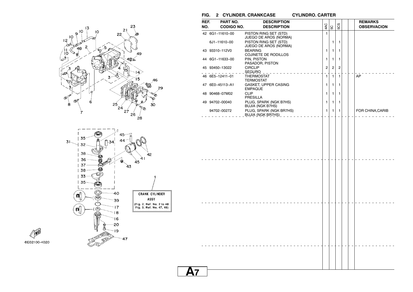

(ල්)

 $\ll$ 

得

-18

 $\mathbf{16}$ -20

-19

 $-47$ 

**FIG. 2 CYLINDER. CRANKCASE CYLINDRO. CARTER**

| REF.<br>NO. | PART NO.<br><b>CODIGO NO.</b> | <b>DESCRIPTION</b><br><b>DESCRIPTION</b>          | 4AC            | 5C             | 5CS            |  | <b>REMARKS</b><br><b>OBSERVACION</b> |
|-------------|-------------------------------|---------------------------------------------------|----------------|----------------|----------------|--|--------------------------------------|
|             | 42 6G1-11610-00               | PISTON RING SET (STD)                             | $\mathbf{1}$   |                |                |  |                                      |
|             | 6J1-11610-00                  | JUEGO DE AROS (NORMA)<br>PISTON RING SET (STD)    |                | 1              | 1              |  |                                      |
|             | 43 93310-112V0                | JUEGO DE AROS (NORMA)<br><b>BEARING</b>           | 1              | 1              | 1              |  |                                      |
|             | 44 6G1-11633-00               | COJINETE DE RODILLOS<br>PIN, PISTON               | 1              | $\mathbf{1}$   | 1              |  |                                      |
|             | 45 93450-13022                | PASADOR, PISTON<br><b>CIRCLIP</b>                 | $\overline{2}$ | $\overline{c}$ | $\overline{c}$ |  |                                      |
|             | 46 6E5-12411-01               | THERMOSTAT                                        | $\mathbf{1}$   | $\mathbf{1}$   | $\mathbf{1}$   |  | AP                                   |
|             |                               | TERMOSTAT                                         |                |                |                |  |                                      |
|             | 47 6E0-45113-A1               | GASKET, UPPER CASING<br><b>EMPAQUE</b>            | 1              | 1              | 1              |  |                                      |
|             | 48 90468-07M02                | <b>CLIP</b><br><b>PRESILLA</b>                    | 1              | 1              | 1              |  |                                      |
|             | 49 94702-00040                | PLUG, SPARK (NGK B7HS)<br><b>BUJIA (NGK B7HS)</b> | 1              | 1              | $\mathbf{1}$   |  |                                      |
|             | 94702-00272<br>.              | PLUG, SPARK (NGK BR7HS)                           | $\mathbf{1}$   | $\mathbf{1}$   | $\mathbf{1}$   |  | FOR CHINA, CARIB                     |
|             |                               |                                                   |                |                |                |  |                                      |
|             |                               |                                                   |                |                |                |  |                                      |
|             |                               |                                                   |                |                |                |  |                                      |
|             |                               |                                                   |                |                |                |  |                                      |
|             |                               |                                                   |                |                |                |  |                                      |
|             |                               |                                                   |                |                |                |  |                                      |

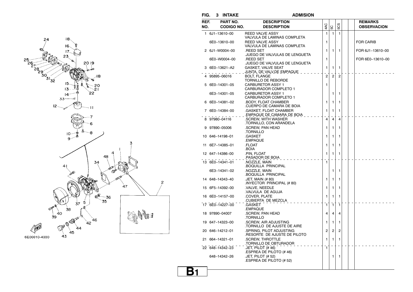



**FIG. 3 INTAKE ADMISION**

### **ADMISION**

| REF. | PART NO.          | <b>DESCRIPTION</b>                                               |                |                |                |  | <b>REMARKS</b>     |
|------|-------------------|------------------------------------------------------------------|----------------|----------------|----------------|--|--------------------|
| NO.  | <b>CODIGO NO.</b> | <b>DESCRIPTION</b>                                               | 4AC            | SC             | 5CS            |  | <b>OBSERVACION</b> |
|      | 1 6J1-13610-00    | <b>REED VALVE ASSY</b><br>VALVULA DE LAMINAS COMPLETA            | 1              | $\mathbf{1}$   | $\mathbf{1}$   |  |                    |
|      | 6E0-13610-00      | <b>REED VALVE ASSY</b><br>VALVULA DE LAMINAS COMPLETA            | 1              |                |                |  | <b>FOR CARIB</b>   |
|      | 2 6J1-W0004-00    | .REED SET<br>JUEGO DE VALVULAS DE LENGUETA                       | 1              | $\mathbf{1}$   | 1              |  | FOR 6J1-13610-00   |
|      | 6E0-W0004-00      | <b>REED SET</b><br>JUEGO DE VALVULAS DE LENGUETA                 | 1              |                |                |  | FOR 6E0-13610-00   |
|      | 3 6E0-13621-A2    | <b>GASKET, VALVE SEAT</b><br><u>JUNTA, DE VALV.DE EMPAQUE   </u> | 1              | 1              | 1              |  |                    |
|      | 95895-06016       | <b>BOLT. FLANGE</b><br>TORNILLO DE REBORDE                       | $\overline{2}$ | $\overline{2}$ | $\overline{2}$ |  |                    |
|      | 5 6E0-14301-05    | <b>CARBURETOR ASSY 1</b><br><b>CARBURADOR COMPLETO 1</b>         | 1              |                |                |  |                    |
|      | 6E3-14301-05      | <b>CARBURETOR ASSY 1</b><br>CARBURADOR COMPLETO 1                |                | 1              | 1              |  |                    |
|      | 6 6E0-14381-02    | <b>BODY, FLOAT CHAMBER</b>                                       | 1              | 1              | 1              |  |                    |
|      | 7 6E0-14384-00    | CUERPO DE CAMARA DE BOIA<br>.GASKET, FLOAT CHAMBER               | 1              | 1              | 1              |  |                    |
|      | 8 97980-04116     | EMPAQUE DE CAMARA DE BOIA.<br>.SCREW. WITH WASHER                | 4              | 4              | 4              |  |                    |
|      | 9 97890-05006     | .TORNILLO, CON ARANDELA<br>.SCREW, PAN HEAD                      | 1              | 1              | 1              |  |                    |
|      | 10 646-14198-01   | TORNILLO.<br>.GASKET                                             | 1              | 1              | 1              |  |                    |
|      | 11 6E7-14385-01   | .EMPAQUE<br>.FLOAT                                               | 1              | 1              | 1              |  |                    |
|      | 12 647-14386-00   | BOIA.<br>.PIN, FLOAT                                             | 1              | 1              | 1              |  |                    |
|      | 13 6E0-14341-01   | PASADOR DE BOIA.<br>.NOZZLE, MAIN                                | $\mathbf{1}$   |                |                |  |                    |
|      | 6E3-14341-02      | BOQUILLA PRINCIPAL<br>.NOZZLE, MAIN                              |                | 1              | 1              |  |                    |
|      | 14 648-14343-40   | BOQUILLA PRINCIPAL<br>.JET, MAIN (# 80)                          | 1              | 1              | 1              |  |                    |
|      | 15 6F5-14392-00   | INYECTOR PRINCIPAL (# 80)<br>.VALVE, NEEDLE                      | 1              | 1              | 1              |  |                    |
|      | 16 6E0-14157-00   | .VALVULA DE AGUJA<br>.COVER, PLATE                               | 1              | 1              | 1              |  |                    |
|      | 17 6E0-14227-00   | CUBIERTA DE MEZCLA.<br>.GASKET                                   | 1              | 1              | 1              |  |                    |
|      | 18 97890-04007    | .EMPAQUE<br>.SCREW, PAN HEAD                                     | 4              | 4              | 4              |  |                    |
|      | 19 647-14323-00   | TORNILLO.<br>.SCREW, AIR ADJUSTING                               | 1              | 1              | 1              |  |                    |
|      | 20 646-14212-01   | TORNILLO DE AJUSTE DE AIRE<br>.SPRING, PILOT ADJUSTING           | $\overline{2}$ | $\overline{2}$ | $\overline{2}$ |  |                    |
|      | 21 664-14321-01   | RESORTE DE AJUSTE DE PILOTO<br>.SCREW, THROTTLE                  | 1              | 1              | 1              |  |                    |
|      | 22 648-14342-23   | TORNILLO DE OBTURADOR.<br>JET, PILOT (# 46)                      | ้1             |                |                |  |                    |
|      | 648-14342-26      | .ESPREA DE PILOTO (#46)<br>.JET, PILOT (# 52)                    |                | 1              | 1              |  |                    |
|      |                   | ESPREA DE PILOTO (# 52)                                          |                |                |                |  |                    |
|      |                   |                                                                  |                |                |                |  |                    |

## **B1**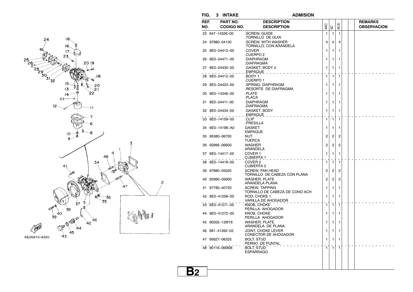



**FIG. 3 INTAKE ADMISION**

**B2**

 $\overline{c}$ 

| .<br>REF. |                               |                                                                    |                |                |                |  |                                      |
|-----------|-------------------------------|--------------------------------------------------------------------|----------------|----------------|----------------|--|--------------------------------------|
| NO.       | PART NO.<br><b>CODIGO NO.</b> | <b>DESCRIPTION</b><br><b>DESCRIPTION</b>                           | 4AC            | SC             | 5CS            |  | <b>REMARKS</b><br><b>OBSERVACION</b> |
|           | 23 647-14326-00               | .SCREW. GUIDE                                                      | 1              | $\mathbf{1}$   | $\mathbf{1}$   |  |                                      |
|           | 24 97980-04120                | TORNILLO DE GUIA<br>.SCREW. WITH WASHER<br>.TORNILLO, CON ARANDELA | 4              | 4              | 4              |  |                                      |
|           | 25 6E0-24413-00               | .COVER<br>CUERPO 2                                                 | 1              | 1              | 1              |  |                                      |
|           | 26 6E0-24471-00               | .DIAPHRAGM<br>.DIAFRAGMA                                           | 1              | 1              | 1              |  |                                      |
|           | 27 6E0-24435-00               | .GASKET, BODY 2<br>EMPAQUE _                                       | 1              | 1              | 1              |  |                                      |
|           | 28 6E0-24412-00               | BODY 1.<br>.CUERPO 1                                               | 1              | 1              | 1              |  |                                      |
|           | 29 6E0-24423-00               | .SPRING, DIAPHRAGM<br>.RESORTE DE DIAFRAGMA                        | 1              | 1              | 1              |  |                                      |
|           | 30 6E0-14346-00               | .PLATE<br>.PLACA                                                   | 1              | 1              | 1              |  |                                      |
|           | 31 6E0-24411-00               | .DIAPHRAGM<br>.DIAFRAGMA                                           | 1              | 1              | 1              |  |                                      |
|           | 32 6E0-24434-00               | .GASKET, BODY<br>.EMPAQUE                                          | 1              | 1              | 1              |  |                                      |
|           | 33 6E0-14159-00               | .CLIP<br>.PRESILLA                                                 | 1              | 1              | 1              |  |                                      |
|           | 34 6E0-14198-A0               | <b>GASKET</b><br><b>EMPAQUE</b>                                    | 1              | 1              | 1              |  |                                      |
|           | 35 95380-06700                | <b>NUT</b><br><b>TUERCA</b>                                        | 2              | 2              | 2              |  |                                      |
|           | 36 92995-06600                | <b>WASHER</b><br>ARANDELA                                          | 2              | 2              | $\overline{2}$ |  |                                      |
|           | 37 6E0-14417-00               | COVER <sub>1</sub><br><b>CUBIERTA 1</b>                            | 1              | 1              | 1              |  |                                      |
|           | 38 6E0-14418-00               | COVER <sub>2</sub><br><b>CUBIERTA 2</b>                            | 1              | $\mathbf{1}$   | $\mathbf{1}$   |  |                                      |
|           | 39 97880-05025                | <b>SCREW. PAN HEAD</b><br>TORNILLO DE CABEZA CON PLANA             | 2              | $\overline{2}$ | $\overline{2}$ |  |                                      |
|           | 40 92990-05600                | <b>WASHER, PLATE</b><br>ARANDELA PLANA                             | $\overline{2}$ | 2              | $\overline{2}$ |  |                                      |
|           | 41 97780-40720                | <b>SCREW, TAPPING</b><br>TORNILLO DE CABEZA DE CONO ACH            | 1              | 1              | 1              |  |                                      |
|           | 42 6E0-41256-00               | ROD. CHOKE 1<br>VARILLA DE AHOGADOR                                | 1              | 1              | 1              |  |                                      |
|           | 43 6E0-41271-00               | KNOB, CHOKE<br>PERILLA AHOGADOR                                    | 1              | $\mathbf{1}$   | $\mathbf{1}$   |  |                                      |
|           | 44 6E0-41272-00               | KNOB, CHOKE<br>PERILLA AHOGADOR                                    | 1              | 1              | 1              |  |                                      |
|           | 45 90202-12M16                | <b>WASHER, PLATE</b><br>ARANDELA DE PLANA                          | 1              | 1              | 1              |  |                                      |
|           | 46 661-41262-02               | <b>JOINT. CHOKE LEVER</b><br>CONECTOR DE AHOGADOR                  | 1              | 1              | 1              |  |                                      |
|           | 47 95627-06325                | <b>BOLT, STUD</b><br>PERNO DE PUNTAL                               | 1              | 1              | 1              |  |                                      |
|           | 48 90116-06M08                | <b>BOLT, STUD</b><br><b>ESPARRAGO</b>                              | $\mathbf{1}$   | $\overline{1}$ | 1              |  |                                      |
|           |                               |                                                                    |                |                |                |  |                                      |
|           |                               |                                                                    |                |                |                |  |                                      |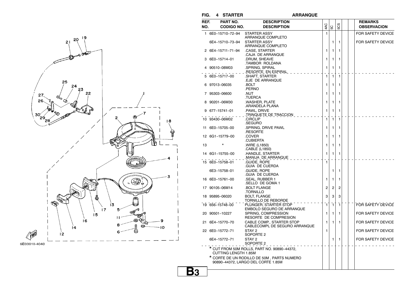



**FIG. 4 STARTER ARRANQUE**

#### **ARRANQUE**

| REF.<br>NO. | PART NO.<br><b>CODIGO NO.</b> | <b>DESCRIPTION</b><br><b>DESCRIPTION</b>                                         | 4AC          | 5C             | 5CS          |  | <b>REMARKS</b><br><b>OBSERVACION</b> |
|-------------|-------------------------------|----------------------------------------------------------------------------------|--------------|----------------|--------------|--|--------------------------------------|
|             | 1 6E0-15710-72-94             | STARTER ASSY<br>ARRANQUE COMPLETO                                                | 1            |                |              |  | FOR SAFETY DEVICE                    |
|             | 6E4-15710-73-94               | <b>STARTER ASSY</b><br>ARRANQUE COMPLETO                                         |              | 1              | 1            |  | FOR SAFETY DEVICE                    |
|             | 2 6E4-15711-71-94             | .CASE, STARTER<br>CAJA DE ARRANQUE                                               | 1            | 1              | 1            |  |                                      |
|             | 3 6E0-15714-01                | .DRUM, SHEAVE<br>TAMBOR ROLDANA.                                                 | 1            | 1              | 1            |  |                                      |
|             | 4 90510-08M03                 | .SPRING, SPIRAL<br>RESORTE EN ESPIRAL                                            | 1            | 1              | 1            |  |                                      |
|             | 6E0-15717-00                  | SHAFT, STARTER<br>.EJE DE ARRANQUE                                               | 1            | $\mathbf{1}$   | 1            |  |                                      |
|             | 6 97013-06035                 | .BOLT<br>.PERNO                                                                  | 1            | 1              | 1            |  |                                      |
|             | 7 95303-06600                 | .NUT<br>TUERCA.                                                                  | 1            | 1              | 1            |  |                                      |
|             | 8 90201-06M30                 | .WASHER, PLATE<br>ARANDELA PLANA.                                                | 1            | 1              | 1            |  |                                      |
|             | 9 677-15741-01                | .PAWL, DRIVE<br>_ .TRINQUETE DE TRACCION _ _                                     | 1            | 1              | 1            |  |                                      |
|             | 10 93430-06M02                | CIRCLIP<br>.SEGURO                                                               | 1            | $\mathbf{1}$   | 1            |  |                                      |
|             | 11 6E0-15705-00               | .SPRING, DRIVE PAWL<br>.RESORTE                                                  | 1            | 1              | 1            |  |                                      |
|             | 12 6G1-15779-00               | .COVER<br>.CUBIERTA                                                              | 1            | 1              | 1            |  |                                      |
| 13          |                               | .WIRE (L1850)<br>CABLE (L1850).                                                  | 1            | 1              | 1            |  |                                      |
|             | 14 6G1-15755-00               | .HANDLE, STARTER<br>MANIJA DE ARRANQUE                                           | 1            | 1              | 1            |  |                                      |
|             | 15 6E0-15758-01               | .GUIDE, ROPE<br>GUIA DE CUERDA                                                   | $\mathbf{1}$ |                |              |  |                                      |
|             | 6E3-15758-01                  | .GUIDE, ROPE<br>GUIA DE CUERDA                                                   |              | 1              | 1            |  |                                      |
|             | 16 6E0-15761-00               | .SEAL, RUBBER 1<br>SELLO DE GOMA 1.                                              | 1            | 1              | 1            |  |                                      |
|             | 17 90105-06M14                | BOLT FLANGE.<br>.tornillo                                                        | 2            | $\overline{2}$ | 2            |  |                                      |
|             | 18 95895-06020                | <b>BOLT, FLANGE</b><br>TORNILLO DE REBORDE                                       | 3            | 3              | 3            |  |                                      |
|             | 19 656-15748-00               | PLUNGER, STARTER STOP<br>EMBOLO SEGURO DE ARRANQUE                               | 1            | 1              | $\mathbf{1}$ |  | FOR SAFETY DEVICE                    |
|             | 20 90501-10227                | SPRING, COMPRESSION<br>RESORTE DE COMPRESION                                     | 1            | 1              | 1            |  | FOR SAFETY DEVICE                    |
|             | 21 6E4-15770-70               | CABLE COMP., STARTER STOP<br>CABLECOMPL DE SEGURO ARRANQUE                       | 1            | 1              | 1            |  | FOR SAFETY DEVICE                    |
|             | 22 6E0-15772-71               | STAY 2<br>SOPORTE <sub>2</sub>                                                   | 1            |                |              |  | FOR SAFETY DEVICE                    |
|             | 6E4-15772-71                  | STAY <sub>2</sub><br>SOPORTE 2                                                   |              | 1              | 1            |  | FOR SAFETY DEVICE                    |
|             | <b>CUTTING LENGTH 1.85M</b>   | * CUT FROM 50M ROLLS, PART NO. 90890-44372,                                      |              |                |              |  |                                      |
|             |                               | * CORTE DE UN RODILLO DE 50M, PARTS NUMERO<br>90890-44372, LARGO DEL CORTE 1.85M |              |                |              |  |                                      |
|             |                               |                                                                                  |              |                |              |  |                                      |

**B3**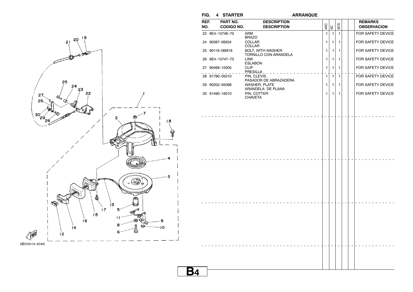



### **B4**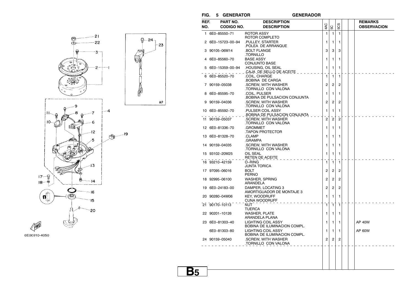$FIG. 5 GENERATOR$ 

 $-23$ 

 $\mathsf{AP}$ 

#### **GENERADOR**



| NO.<br>4 | <b>CODIGO NO.</b><br>1 6E0-85550-71<br>2 6E0-15723-00-94<br>3 90105-06M14 | <b>DESCRIPTION</b><br>ROTOR ASSY<br>ROTOR COMPLETO<br>.PULLEY, STARTER<br>POLEA DE ARRANQUE. | 4AC<br>1       | 5C<br>$\mathbf{1}$ | 5CS<br>$\mathbf{1}$ |  | <b>OBSERVACION</b> |
|----------|---------------------------------------------------------------------------|----------------------------------------------------------------------------------------------|----------------|--------------------|---------------------|--|--------------------|
|          |                                                                           |                                                                                              |                |                    |                     |  |                    |
|          |                                                                           |                                                                                              |                |                    |                     |  |                    |
|          |                                                                           |                                                                                              |                |                    |                     |  |                    |
|          |                                                                           |                                                                                              | 1              | 1                  | 1                   |  |                    |
|          |                                                                           |                                                                                              |                |                    |                     |  |                    |
|          |                                                                           | <b>BOLT FLANGE</b><br>.TORNILLO                                                              | 3              | 3                  | 3                   |  |                    |
|          | 6E0-85560-70                                                              | <b>BASE ASSY</b>                                                                             | 1              | 1                  | 1                   |  |                    |
|          |                                                                           | <b>CONJUNTO BASE</b>                                                                         |                |                    |                     |  |                    |
|          | 5 6E0-15359-00-94                                                         | .HOUSING, OIL SEAL                                                                           | 1              | 1                  | 1                   |  |                    |
|          |                                                                           | CAJA DE SELLO DE ACEITE _ _ _                                                                |                |                    |                     |  |                    |
|          | 6 6E0-85520-70                                                            | COIL. CHARGE                                                                                 | 1              | $\mathbf{1}$       | 1                   |  |                    |
|          |                                                                           | BOBINA DE CARGA                                                                              |                |                    |                     |  |                    |
|          | 7 90159-05038                                                             | .SCREW, WITH WASHER<br>TORNILLO CON VALONA.                                                  | 2              | 2                  | 2                   |  |                    |
|          | 8 6E0-85595-70                                                            | .COIL, PULSER                                                                                | 1              | $\mathbf{1}$       | 1                   |  |                    |
|          |                                                                           | BOBINA DE PULSACION CONJUNTA                                                                 |                |                    |                     |  |                    |
|          | 9 90159-04036                                                             | .SCREW, WITH WASHER                                                                          | 2              | 2                  | 2                   |  |                    |
|          |                                                                           | .TORNILLO CON VALONA                                                                         |                |                    |                     |  |                    |
|          | 10 6E0-85592-70                                                           | PULSER COIL ASSY                                                                             | 1              | 1                  | 1                   |  |                    |
|          |                                                                           | BOBINA DE PULSACION CONJUNTA                                                                 | $\overline{2}$ |                    |                     |  |                    |
|          | 11 90159-05037                                                            | .SCREW, WITH WASHER<br>TORNILLO CON VALONA.                                                  |                | $\overline{2}$     | $\overline{2}$      |  |                    |
|          | 12 6E0-81336-70                                                           | .GROMMET                                                                                     | 1              | 1                  | 1                   |  |                    |
|          |                                                                           | TAPON PROTECTOR.                                                                             |                |                    |                     |  |                    |
|          | 13 6E0-81328-70                                                           | .CLAMP                                                                                       | 1              | 1                  | 1                   |  |                    |
|          |                                                                           | .grampa                                                                                      |                |                    |                     |  |                    |
|          | 14 90159-04035                                                            | .SCREW, WITH WASHER                                                                          | 1              | 1                  | 1                   |  |                    |
|          | 15 93102-20M25                                                            | TORNILLO CON VALONA<br>OIL SEAL                                                              | 1              | 1                  | 1                   |  |                    |
|          |                                                                           | RETEN DE ACEITE                                                                              |                |                    |                     |  |                    |
|          | 16 93210-42159                                                            | O-RING                                                                                       | 1              | $\mathbf{1}$       | $\mathbf{1}$        |  |                    |
|          |                                                                           | <b>JUNTA TORICA</b>                                                                          |                |                    |                     |  |                    |
|          | 17 97095-06016                                                            | BOLT                                                                                         | 2              | 2                  | 2                   |  |                    |
|          |                                                                           | PERNO                                                                                        |                |                    |                     |  |                    |
|          | 18 92995-06100                                                            | WASHER, SPRING<br>ARANDELA                                                                   | 2              | 2                  | 2                   |  |                    |
|          | 19 6E0-24183-00                                                           | DAMPER, LOCATING 3                                                                           | $\overline{2}$ | $\overline{2}$     | 2                   |  |                    |
|          |                                                                           | AMORTIGUADOR DE MONTAJE 3                                                                    |                |                    |                     |  |                    |
|          | 20 90280-04M06                                                            | <b>KEY, WOODRUFF</b>                                                                         | 1              | 1                  | 1                   |  |                    |
|          |                                                                           | CUNA WOODRUFF                                                                                |                |                    |                     |  |                    |
|          | 21 90170-10113                                                            | NUT                                                                                          | 1              | $\mathbf{1}$       | $\mathbf{1}$        |  |                    |
|          | 22 90201-10126                                                            | TUERCA<br><b>WASHER, PLATE</b>                                                               | 1              | 1                  | 1                   |  |                    |
|          |                                                                           | ARANDELA PLANA                                                                               |                |                    |                     |  |                    |
|          | 23 6E0-81303-40                                                           | <b>LIGHTING COIL ASSY</b>                                                                    | 1              | 1                  | 1                   |  | AP 40W             |
|          |                                                                           | BOBINA DE ILUMINACION COMPL.                                                                 |                |                    |                     |  |                    |
|          | 6E0-81303-80                                                              | <b>LIGHTING COIL ASSY</b>                                                                    | 1              | 1                  | 1                   |  | AP 60W             |
|          |                                                                           | BOBINA DE ILUMINACION COMPL.                                                                 |                |                    |                     |  |                    |
|          | 24 90159-05040                                                            | .SCREW, WITH WASHER<br>TORNILLO CON VALONA                                                   | $\overline{2}$ | 2                  | $\overline{c}$      |  |                    |
|          |                                                                           |                                                                                              |                |                    |                     |  |                    |
|          |                                                                           |                                                                                              |                |                    |                     |  |                    |
|          |                                                                           |                                                                                              |                |                    |                     |  |                    |
|          |                                                                           |                                                                                              |                |                    |                     |  |                    |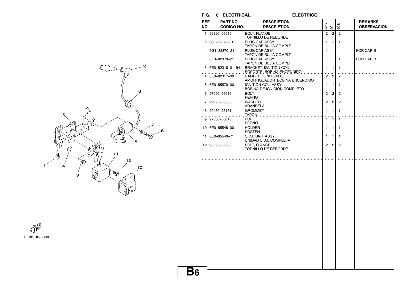| FIG.        | 6 ELECTRICAL                  | <b>ELECTRICO</b>                                           |                |                |                |  |                                      |
|-------------|-------------------------------|------------------------------------------------------------|----------------|----------------|----------------|--|--------------------------------------|
| REF.<br>NO. | PART NO.<br><b>CODIGO NO.</b> | <b>DESCRIPTION</b><br><b>DESCRIPTION</b>                   | 4AC            | SC             | 5CS            |  | <b>REMARKS</b><br><b>OBSERVACION</b> |
|             | 1 95895-06016                 | <b>BOLT, FLANGE</b><br>TORNILLO DE REBORDE                 | $\overline{c}$ | $\overline{c}$ | $\overline{2}$ |  |                                      |
|             | 2 663-82370-01                | PLUG CAP ASSY<br>TAPON DE BUJIA COMPLT                     | 1              | 1              | 1              |  |                                      |
|             | 6G1-82370-21                  | PLUG CAP ASSY<br><b>TAPON DE BUJIA COMPLT</b>              | 1              |                |                |  | <b>FOR CARIB</b>                     |
|             | 6E3-82370-21                  | PLUG CAP ASSY<br><b>TAPON DE BUJIA COMPLT</b>              |                |                | 1              |  | <b>FOR CARIB</b>                     |
|             | 3 6E0-82316-01-94             | <b>BRACKET, IGNITION COIL</b><br>SOPORTE_BOBINA ENCENDIDO_ | 1              | 1              | 1              |  |                                      |
|             | 4 6E0-82317-00                | DAMPER, IGNITION COIL<br>AMORTIGUADOR BOBINA ENCENDIDO     | 2              | $\overline{c}$ | $\overline{c}$ |  |                                      |
|             | 5 6E0-85570-00                | <b>IGNITION COIL ASSY</b><br>BOBINA DE IGNICION COMPLETO   | 1              | 1              | 1              |  |                                      |
|             | 6 97095-06016                 | <b>BOLT</b><br><b>PERNO</b>                                | 2              | 2              | 2              |  |                                      |
|             | 7 92995-06600                 | <b>WASHER</b><br>ARANDELA                                  | 2              | 2              | $\overline{c}$ |  |                                      |
|             | 8 90480-25161                 | <b>GROMMET</b><br>TAPON _                                  | 1              | 1              | 1              |  |                                      |
|             | 9 97080-06010                 | <b>BOLT</b><br><b>PERNO</b>                                | 1              | $\mathbf{1}$   | $\mathbf{1}$   |  |                                      |
|             | 10 6E0-85548-00               | <b>HOLDER</b><br><b>SOSTEN</b>                             | 1              | 1              | 1              |  |                                      |
|             | 11 6E0-85540-71               | C.D.I. UNIT ASSY<br>UNIDAD C.D.I. COMPLETA                 | 1              | 1              | 1              |  |                                      |
|             | 12 95895-06020                | <b>BOLT, FLANGE</b><br>TORNILLO DE REBORDE                 | $\overline{c}$ | $\overline{c}$ | $\overline{2}$ |  |                                      |
|             |                               |                                                            |                |                |                |  |                                      |
|             |                               |                                                            |                |                |                |  |                                      |
|             |                               |                                                            |                |                |                |  |                                      |
|             |                               |                                                            |                |                |                |  |                                      |
|             |                               |                                                            |                |                |                |  |                                      |
|             |                               |                                                            |                |                |                |  |                                      |
|             |                               |                                                            |                |                |                |  |                                      |
|             |                               |                                                            |                |                |                |  |                                      |
|             |                               |                                                            |                |                |                |  |                                      |
|             |                               |                                                            |                |                |                |  |                                      |
|             |                               |                                                            |                |                |                |  |                                      |
|             |                               |                                                            |                |                |                |  |                                      |
|             |                               |                                                            |                |                |                |  |                                      |



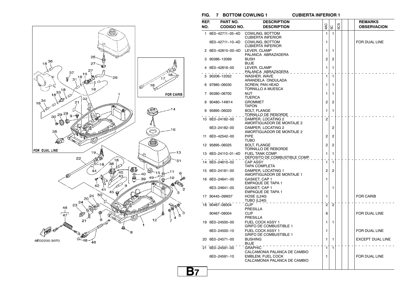**FIG. 7 BOTTOM COWLING 1 CUBIERTA INFERIOR 1**

**B7**



| REF. | PART NO.           | <b>DESCRIPTION</b>                                |                |                |     |  | <b>REMARKS</b>          |
|------|--------------------|---------------------------------------------------|----------------|----------------|-----|--|-------------------------|
| NO.  | <b>CODIGO NO.</b>  | <b>DESCRIPTION</b>                                | 4AC            | SC             | 50S |  | <b>OBSERVACION</b>      |
|      | 1 6E0-42711-05-4D  | COWLING, BOTTOM<br><b>CUBIERTA INFERIOR</b>       | 1              | $\mathbf{1}$   |     |  |                         |
|      | 6E0-42711-10-4D    | COWLING, BOTTOM<br><b>CUBIERTA INFERIOR</b>       | 1              |                |     |  | FOR DUAL LINE           |
|      | 2 6E0-42815-00-4D  | LEVER, CLAMP<br>PALANCA ABRAZADERA                | 1              | 1              |     |  |                         |
|      | 3 90386-12069      | <b>BUSH</b><br><b>BUJE</b>                        | $\overline{c}$ | 2              |     |  |                         |
|      | 6E0-42816-00       | LEVER, CLAMP<br>PALANCA ABRAZADERA _              | 1              | $\mathbf{1}$   |     |  |                         |
| 5    | 90206-12052        | WASHER, WAVE<br>ARANDELA ONDULADA                 | 1              | $\mathbf{1}$   |     |  |                         |
|      | 6 97885-06030      | <b>SCREW, PAN HEAD</b><br>TORNILLO A MUESCA       | 1              | 1              |     |  |                         |
| 7    | 95380-06700        | <b>NUT</b><br>TUERCA                              | 1              | 1              |     |  |                         |
|      | 90480–14M14        | <b>GROMMET</b><br><b>TAPON</b>                    | 2              | 2              |     |  |                         |
|      | 95895-06020        | <b>BOLT, FLANGE</b><br><u>TORNILLO DE REBORDE</u> | 1              | 1              |     |  |                         |
|      | 10 6E0-24182-00    | DAMPER, LOCATING 2<br>AMORTIGUADOR DE MONTAJE 2   | $\overline{2}$ |                |     |  |                         |
|      | 6E3-24182-00       | DAMPER, LOCATING 2<br>AMORTIGUADOR DE MONTAJE 2   |                | 2              |     |  |                         |
|      | 11 6E0-42542-00    | <b>PIPE</b><br>TUBO                               | 2              | 2              |     |  |                         |
|      | 12 95895-06025     | <b>BOLT, FLANGE</b><br>TORNILLO DE REBORDE        | $\overline{2}$ | 2              |     |  |                         |
|      | 13 6E0-24110-01-4D | FUEL TANK COMP.<br>DEPOSITO DE COMBUSTIBLE COMP.  | 1              | 1              |     |  |                         |
|      | 14 6E0-24610-02    | <b>CAP ASSY</b><br>TAPA COMPLETA                  | $\mathbf{1}$   | $\mathbf{1}$   |     |  |                         |
|      | 15 6E0-24181-00    | DAMPER, LOCATING 1<br>AMORTIGUADOR DE MONTAJE 1   | $\overline{2}$ | $\overline{2}$ |     |  |                         |
|      | 16 6E0-24641-00    | GASKET, CAP 1<br><b>EMPAQUE DE TAPA 1</b>         | 1              |                |     |  |                         |
|      | 6E3-24641-00       | GASKET, CAP 1<br><b>EMPAQUE DE TAPA 1</b>         |                | 1              |     |  |                         |
|      | 17 90445-09M37     | <b>HOSE (L240)</b><br>TUBO (L240)                 | 1              |                |     |  | <b>FOR CARIB</b>        |
|      | 18 90467-08004     | <b>CLIP</b><br><b>PRESILLA</b>                    | $\overline{2}$ | $\bar{2}$      |     |  |                         |
|      | 90467-08004        | <b>CLIP</b><br>PRESILLA                           | 6              |                |     |  | FOR DUAL LINE           |
|      | 19 6E0-24500-00    | FUEL COCK ASSY 1<br><b>GRIFO DE COMBUSTIBLE 1</b> | 1              | 1              |     |  |                         |
|      | 6E0-24500-10       | FUEL COCK ASSY 1<br><b>GRIFO DE COMBUSTIBLE 1</b> | 1              |                |     |  | FOR DUAL LINE           |
|      | 20 6E0-24571-00    | <b>BUSHING</b><br><b>BUJE</b>                     | 1              | $\mathbf{1}$   |     |  | <b>EXCEPT DUAL LINE</b> |
|      | 21 6E0-24591-00    | <b>GRAPHIC</b><br>CALCAMONIA PALANCA DE CAMBIO    | $\mathbf{1}$   | 1              |     |  |                         |
|      | 6E0-24591-10       | EMBLEM, FUEL COCK<br>CALCAMONIA PALANCA DE CAMBIO | 1              |                |     |  | FOR DUAL LINE           |
|      |                    |                                                   |                |                |     |  |                         |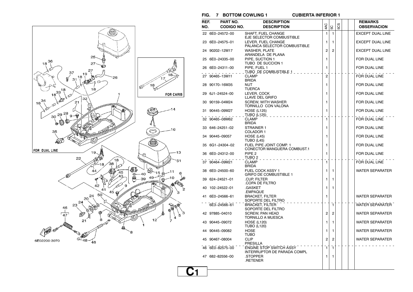**FIG. 7 BOTTOM COWLING 1 CUBIERTA INFERIOR 1**

|     | PART NO.          | <b>DESCRIPTION</b>                                     |                |                |     |  | <b>REMARKS</b>          |
|-----|-------------------|--------------------------------------------------------|----------------|----------------|-----|--|-------------------------|
| NO. | <b>CODIGO NO.</b> | <b>DESCRIPTION</b>                                     | 4AC            | 50             | 5CS |  | <b>OBSERVACION</b>      |
|     | 22 6E0-24572-00   | SHAFT, FUEL CHANGE<br>EJE SELECTOR COMBUSTIBLE         | 1              | $\mathbf{1}$   |     |  | <b>EXCEPT DUAL LINE</b> |
|     | 23 6E0-24575-01   | LEVER. FUEL CHANGE<br>PALANCA SELECTOR COMBUSTIBLE     | 1              | 1              |     |  | <b>EXCEPT DUAL LINE</b> |
|     | 24 90202-12M17    | <b>WASHER, PLATE</b><br>ARANDELA DE PLANA              | 2              | 2              |     |  | <b>EXCEPT DUAL LINE</b> |
|     | 25 6E0-24335-00   | PIPE, SUCTION 1<br>TUBO DE SUCCION 1                   | 1              |                |     |  | FOR DUAL LINE           |
|     | 26 6E0-24311-00   | PIPE. FUEL 1<br>TUBO DE COMBUSTIBLE 1 _ _ _ _ _        | 1              |                |     |  | FOR DUAL LINE           |
|     | 27 90465-13M11    | <b>CLAMP</b><br><b>BRIDA</b>                           | $\overline{c}$ |                |     |  | FOR DUAL LINE           |
|     | 28 90170-16M35    | <b>NUT</b><br><b>TUERCA</b>                            | 1              |                |     |  | FOR DUAL LINE           |
|     | 29 6J1-24524-00   | LEVER, COCK<br>LLAVE DEL GRIFO                         | 1              |                |     |  | FOR DUAL LINE           |
|     | 30 90159-04M24    | <b>SCREW, WITH WASHER</b><br>TORNILLO CON VALONA       | 1              |                |     |  | FOR DUAL LINE           |
|     | 31 90445-09M27    | <b>HOSE (L125)</b><br>TUBO (L125)                      | 1              |                |     |  | FOR DUAL LINE           |
|     | 32 90465-08M62    | <b>CLAMP</b><br><b>BRIDA</b>                           | 1              |                |     |  | FOR DUAL LINE           |
|     | 33 646-24251-02   | STRAINER 1<br>COLADOR 1                                | 1              |                |     |  | FOR DUAL LINE           |
|     | 34 90445-09057    | <b>HOSE (L45)</b><br>TUBO (L45)                        | 1              |                |     |  | FOR DUAL LINE           |
|     | 35 6G1-24304-02   | FUEL PIPE JOINT COMP. 1<br>CONECTOR MANGUERA COMBUST.1 | 1              |                |     |  | FOR DUAL LINE           |
|     | 36 6E0-24312-00   | PIPE <sub>2</sub><br>TUBO 2                            | 1              |                |     |  | FOR DUAL LINE           |
|     | 37 90464-09M21    | <b>CLAMP</b><br><b>BRIDA</b>                           | 1              |                |     |  | FOR DUAL LINE           |
|     | 38 6E0-24500-60   | <b>FUEL COCK ASSY 1</b><br>GRIFO DE COMBUSTIBLE 1      | 1              | 1              |     |  | <b>WATER SEPARATER</b>  |
| 39  | 624–24521–01      | CUP. FILTER<br>COPA DE FILTRO                          | 1              | 1              |     |  |                         |
|     | 40 102-24522-01   | .GASKET<br>.EMPAQUE                                    | 1              | 1              |     |  |                         |
|     | 41 6E0-24566-61   | <b>BRACKET, FILTER</b><br>SOPORTE DEL FILTRO           | 1              |                |     |  | <b>WATER SEPARATER</b>  |
|     | 6E3-24566-61      | <b>BRACKET, FILTER</b><br>SOPORTE DEL FILTRO           |                | Ē,             |     |  | WATER SEPARATER         |
|     | 42 97885-04010    | <b>SCREW. PAN HEAD</b><br>TORNILLO A MUESCA            | 2              | $\overline{2}$ |     |  | <b>WATER SEPARATER</b>  |
|     | 43 90445-09072    | <b>HOSE (L120)</b><br><b>TUBO (L120)</b>               | 1              | 1              |     |  | <b>WATER SEPARATER</b>  |
|     | 44 90445-09082    | <b>HOSE</b><br><b>TUBO</b>                             | 1              | 1              |     |  | <b>WATER SEPARATER</b>  |
|     | 45 90467-08004    | CLIP<br>PRESILLA                                       | $\overline{c}$ | $\overline{2}$ |     |  | <b>WATER SEPARATER</b>  |
|     | 46 6E0-82575-00   | ENGINE STOP SWITCH ASSY<br>INTERRUPTOR DE PARADA COMPL | $\mathbf{1}$   | $\mathbf{1}$   |     |  |                         |
|     | 47 682-82556-00   | .STOPPER<br>.RETENER                                   | 1<br>1         |                |     |  |                         |
|     |                   |                                                        |                |                |     |  |                         |

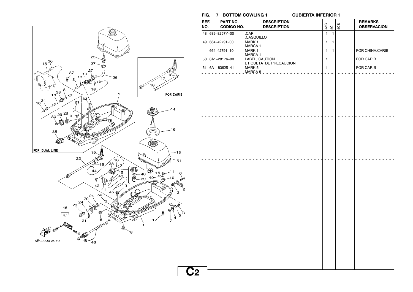**FIG. 7 BOTTOM COWLING 1 CUBIERTA INFERIOR 1**



| REF.<br>NO. | PART NO.<br><b>CODIGO NO.</b> | <b>DESCRIPTION</b><br><b>DESCRIPTION</b> | 4AC          | ခြ             | 5CS |  | <b>REMARKS</b><br><b>OBSERVACION</b> |
|-------------|-------------------------------|------------------------------------------|--------------|----------------|-----|--|--------------------------------------|
|             | 48 689-8257Y-00               | .CAP<br>.CASQUILLO                       | $\mathbf{1}$ | $\overline{1}$ |     |  |                                      |
|             | 49 664-42791-00               | MARK 1                                   | $\mathbf{1}$ | $\overline{1}$ |     |  |                                      |
|             | 664-42791-10                  | <b>MARCA1</b><br>MARK 1                  | $\mathbf{1}$ | $\overline{1}$ |     |  | FOR CHINA, CARIB                     |
|             | 50 6A1-28176-00               | <b>MARCA1</b><br>LABEL, CAUTION          | $\mathbf{1}$ |                |     |  | FOR CARIB                            |
|             | 51 6A1-83625-41               | ETIQUETA DE PRECAUCION<br>MARK 5         | $\mathbf{1}$ |                |     |  | FOR CARIB                            |
|             |                               |                                          |              |                |     |  |                                      |
|             |                               |                                          |              |                |     |  |                                      |
|             |                               |                                          |              |                |     |  |                                      |
|             |                               |                                          |              |                |     |  |                                      |
|             |                               |                                          |              |                |     |  |                                      |
|             |                               | .                                        |              |                |     |  |                                      |
|             |                               |                                          |              |                |     |  |                                      |
|             |                               |                                          |              |                |     |  |                                      |
|             |                               |                                          |              |                |     |  |                                      |
|             |                               |                                          |              |                |     |  |                                      |
|             |                               |                                          |              |                |     |  |                                      |
|             |                               |                                          |              |                |     |  |                                      |
|             |                               |                                          |              |                |     |  |                                      |
|             |                               |                                          |              |                |     |  |                                      |
|             |                               |                                          |              |                |     |  |                                      |
|             |                               |                                          |              |                |     |  |                                      |
|             | .                             |                                          |              |                |     |  |                                      |
|             |                               |                                          |              |                |     |  |                                      |
|             |                               |                                          |              |                |     |  |                                      |
|             |                               |                                          |              |                |     |  |                                      |
|             |                               |                                          |              |                |     |  |                                      |
|             |                               |                                          |              |                |     |  |                                      |
|             |                               |                                          |              |                |     |  |                                      |
|             |                               |                                          |              |                |     |  |                                      |
| <u>C2</u>   |                               |                                          |              |                |     |  |                                      |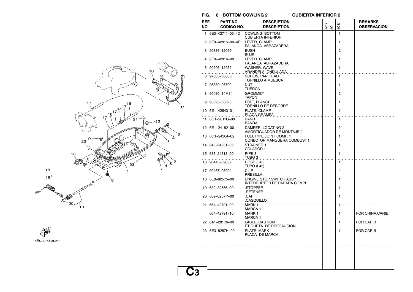#### **FIG. 8 BOTTOM COWLING 2 CUBIERTA INFERIOR 2**

| REF.<br>NO. | PART NO.<br><b>CODIGO NO.</b> | <b>DESCRIPTION</b><br><b>DESCRIPTION</b>                      | 4AC | 5C | 503            |  | <b>REMARKS</b><br><b>OBSERVACION</b> |
|-------------|-------------------------------|---------------------------------------------------------------|-----|----|----------------|--|--------------------------------------|
|             | 1 6E0-42711-05-4D             | COWLING, BOTTOM                                               |     |    | 1              |  |                                      |
|             |                               | <b>CUBIERTA INFERIOR</b>                                      |     |    |                |  |                                      |
|             | 2 6E0-42815-00-4D             | LEVER, CLAMP<br>PALANCA ABRAZADERA                            |     |    | 1              |  |                                      |
|             | 3 90386-12069                 | <b>BUSH</b>                                                   |     |    | $\overline{c}$ |  |                                      |
|             |                               | <b>BUJE</b>                                                   |     |    |                |  |                                      |
|             | 4 6E0-42816-00                | LEVER, CLAMP<br>PALANCA ABRAZADERA                            |     |    | 1              |  |                                      |
|             | 5 90206-12052                 | WASHER, WAVE                                                  |     |    | 1              |  |                                      |
|             |                               | ARANDELA ONDULADA                                             |     |    |                |  |                                      |
|             | 6 97885-06030                 | <b>SCREW, PAN HEAD</b><br><b>TORNILLO A MUESCA</b>            |     |    | 1              |  |                                      |
|             | 7 95380-06700                 | <b>NUT</b>                                                    |     |    | 1              |  |                                      |
|             |                               | <b>TUERCA</b>                                                 |     |    |                |  |                                      |
|             | 8 90480-14M14                 | <b>GROMMET</b><br><b>TAPON</b>                                |     |    | 2              |  |                                      |
|             | 9 95895-06020                 | <b>BOLT, FLANGE</b>                                           |     |    | 1              |  |                                      |
|             |                               | TORNILLO DE REBORDE                                           |     |    |                |  |                                      |
|             | 10 6E1-42643-01               | PLATE, CLAMP<br>PLACA GRAMPA                                  |     |    | 1              |  |                                      |
|             | 11 6G1-2811G-00               | <b>BAND</b>                                                   |     |    | 1              |  |                                      |
|             |                               | <b>BANDA</b>                                                  |     |    |                |  |                                      |
|             | 12 6E1-24182-00               | DAMPER, LOCATING 2<br>AMORTIGUADOR DE MONTAJE 2               |     |    | 2              |  |                                      |
|             | 13 6G1-24304-02               | FUEL PIPE JOINT COMP. 1                                       |     |    | 1              |  |                                      |
|             |                               | CONECTOR MANGUERA COMBUST.1                                   |     |    |                |  |                                      |
|             | 14 646-24251-02               | STRAINER 1                                                    |     |    | 1              |  |                                      |
|             | 15 688-24313-00               | COLADOR 1<br>PIPE <sub>3</sub>                                |     |    | 1              |  |                                      |
|             |                               | TUBO 3                                                        |     |    |                |  |                                      |
|             | 16 90445-09057                | HOSE (L45)                                                    |     |    | 1              |  |                                      |
|             | 17 90467-08004                | <b>TUBO (L45)</b><br><b>CLIP</b>                              |     |    | 4              |  |                                      |
|             |                               | PRESILLA                                                      |     |    |                |  |                                      |
|             | 18 6E0-82575-00               | <b>ENGINE STOP SWITCH ASSY</b><br>INTERRUPTOR DE PARADA COMPL |     |    | 1              |  |                                      |
|             | 19 682-82556-00               | .STOPPER                                                      |     |    | 1              |  |                                      |
|             |                               | .RETENER                                                      |     |    |                |  |                                      |
|             | 20 689-8257Y-00               | .CAP                                                          |     |    | 1              |  |                                      |
|             | 21 664-42791-00               | .CASQUILLO<br>MARK 1                                          |     |    | 1              |  |                                      |
|             |                               | <b>MARCA 1</b>                                                |     |    |                |  |                                      |
|             | 664-42791-10                  | MARK 1                                                        |     |    | 1              |  | FOR CHINA,CARIB                      |
|             | 22 6A1-28176-00               | MARCA 1<br>LABEL, CAUTION                                     |     |    | 1              |  | <b>FOR CARIB</b>                     |
|             |                               | ETIQUETA DE PRECAUCION                                        |     |    |                |  |                                      |
|             | 23 6E3-8257H-00               | PLATE. MARK                                                   |     |    | 1              |  | <b>FOR CARIB</b>                     |
|             |                               | PLACA DE MARCA                                                |     |    |                |  |                                      |
|             |                               |                                                               |     |    |                |  |                                      |
|             |                               |                                                               |     |    |                |  |                                      |
|             |                               |                                                               |     |    |                |  |                                      |
|             |                               |                                                               |     |    |                |  |                                      |
|             |                               |                                                               |     |    |                |  |                                      |



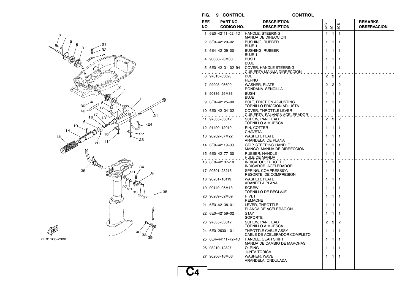

6E01100-2080

**FIG. 9 CONTROL CONTROL**

**C4**

**CONTROL** 

| REF.<br>NO. | PART NO.<br>CODIGO NO. | <b>DESCRIPTION</b><br><b>DESCRIPTION</b>                     | 4AC            | 5C             | 5CS            |  | <b>REMARKS</b><br><b>OBSERVACION</b> |
|-------------|------------------------|--------------------------------------------------------------|----------------|----------------|----------------|--|--------------------------------------|
|             | 1 6E0-42111-02-4D      | <b>HANDLE, STEERING</b><br><b>MANIJA DE DIRECCION</b>        | 1              | 1              | $\mathbf{1}$   |  |                                      |
|             | 2 6E0-42129-02         | <b>BUSHING, RUBBER</b><br>BUJE 1                             | 1              | 1              | 1              |  |                                      |
| з           | 6E4-42129-00           | <b>BUSHING, RUBBER</b><br>BUJE 1                             | 1              | 1              | 1              |  |                                      |
|             | 90386-26M30            | <b>BUSH</b><br><b>BUJE</b>                                   | 1              | 1              | 1              |  |                                      |
|             | 5 6E0-42131-02-94      | COVER, HANDLE STEERING<br>CUBIERTA MANIJA DIRRECCION         | 1              | 1              | 1              |  |                                      |
|             | 97013–05020            | <b>BOLT</b><br><b>PERNO</b>                                  | 2              | 2              | 2              |  |                                      |
|             | 7 92903-05600          | WASHER, PLATE<br>RONDANA SENCILLA                            | 2              | $\overline{c}$ | $\overline{2}$ |  |                                      |
|             | 8 90386-26M33          | <b>BUSH</b><br><b>BUJE</b>                                   | 1              | 1              | 1              |  |                                      |
|             | 9 6E0-42125-00         | <b>BOLT, FRICTION ADJUSTING</b><br>TORNILLO FRICCION ADJUSTA | 1              | 1              | 1              |  |                                      |
|             | 10 6E0-42134-02        | COVER, THROTTLE LEVER<br><u>CUBIERTA_PALANCA ACELERADOR</u>  | 1              | 1              | 1              |  |                                      |
|             | 11 97885-05012         | <b>SCREW, PAN HEAD</b><br>TORNILLO A MUESCA                  | $\overline{c}$ | $\overline{c}$ | $\overline{2}$ |  |                                      |
|             | 12 91490-12010         | PIN, COTTER<br>CHAVETA                                       | 1              | 1              | 1              |  |                                      |
|             | 13 90202-07M22         | WASHER, PLATE<br>ARANDELA DE PLANA                           | 1              | 1              | 1              |  |                                      |
|             | 14 6E0-42119-00        | <b>GRIP. STEERING HANDLE</b><br>MANGO, MANIJA DE DIRRECCION  | 1              | 1              | 1              |  |                                      |
|             | 15 6E0-42177-00        | RUBBER, HANDLE<br>HULE DE MANIJA                             | 1              | 1              | 1              |  |                                      |
|             | 16 6E0-42137-10        | <b>INDICATOR, THROTTLE</b><br>INDICADOR ACELERADOR           | 1              | $\mathbf 1$    | 1              |  |                                      |
|             | 17 90501-23215         | SPRING, COMPRESSION<br>RESORTE DE COMPRESION                 | 1              | 1              | 1              |  |                                      |
|             | 18 90201-10119         | <b>WASHER, PLATE</b><br>ARANDELA PLANA                       | 1              | 1              | 1              |  |                                      |
|             | 19 90149-05M13         | <b>SCREW</b><br>TORNILLO DE REGLAJE                          | 1              | 1              | 1              |  |                                      |
|             | 20 90269-02M09         | <b>RIVET</b><br>REMACHE                                      | 1              | 1              | 1              |  |                                      |
|             | 21 6E0-42138-01        | LEVER, THROTTLE<br>PLANCA DE ACELERACION                     | 1              | $\mathbf{1}$   | 1              |  |                                      |
|             | 22 6E0-42159-02        | <b>STAY</b><br>SOPORTE                                       | 1              | 1              | 1              |  |                                      |
|             | 23 97885-05012         | <b>SCREW, PAN HEAD</b><br>TORNILLO A MUESCA                  | 2              | 2              | 2              |  |                                      |
|             | 24 6E0-26301-01        | THROTTLE CABLE ASSY<br>CABLE DE ACELERADOR COMPLETO          | 1              | 1              | 1              |  |                                      |
|             | 25 6E4-44111-72-4D     | HANDLE, GEAR SHIFT<br>MANIJA DE CAMBIO DE MARCHAS            | 1              | 1              | 1              |  |                                      |
|             | 26 93210-12327         | O-RING<br>JUNTA TORICA                                       | 1              | $\mathbf{1}$   | 1              |  |                                      |
|             | 27 90206-16M06         | WASHER, WAVE<br>ARANDELA ONDULADA                            | 1              | 1              | 1              |  |                                      |
|             |                        |                                                              |                |                |                |  |                                      |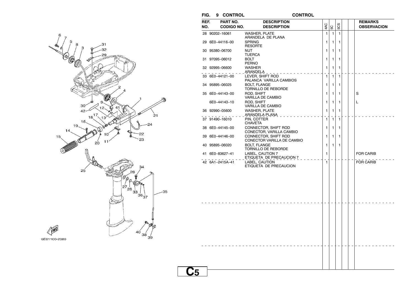

| FIG.        |                | 9 CONTROL                     |                                                     | <b>CONTROL</b> |              |              |              |  |                                      |
|-------------|----------------|-------------------------------|-----------------------------------------------------|----------------|--------------|--------------|--------------|--|--------------------------------------|
| REF.<br>NO. |                | PART NO.<br><b>CODIGO NO.</b> | <b>DESCRIPTION</b><br><b>DESCRIPTION</b>            |                | 4AC          | 5C           | 5CS          |  | <b>REMARKS</b><br><b>OBSERVACION</b> |
|             | 28 90202-16061 |                               | <b>WASHER, PLATE</b><br>ARANDELA DE PLANA           |                | $\mathbf{1}$ | $\mathbf{1}$ | 1            |  |                                      |
|             |                | 29 6E0-44116-00               | <b>SPRING</b><br><b>RESORTE</b>                     |                | 1            | $\mathbf{1}$ | $\mathbf{1}$ |  |                                      |
|             | 30 95380-06700 |                               | <b>NUT</b><br><b>TUERCA</b>                         |                | 1            | 1            | 1            |  |                                      |
|             | 31 97095-06012 |                               | <b>BOLT</b><br><b>PERNO</b>                         |                | 1            | $\mathbf{1}$ | 1            |  |                                      |
|             | 32 92995-06600 |                               | <b>WASHER</b><br>ARANDELA _ _ _ _                   |                | 1            | 1            | 1            |  |                                      |
|             |                | 33 6E0-44121-00               | LEVER, SHIFT ROD<br>PALANCA VARILLA CAMBIOS         |                | 1            | $\mathbf{1}$ | 1            |  |                                      |
|             | 34 95895-06025 |                               | <b>BOLT, FLANGE</b><br>TORNILLO DE REBORDE          |                | 1            | 1            | 1            |  |                                      |
|             |                | 35 6E0-44143-00               | ROD, SHIFT<br>VARILLA DE CAMBIO                     |                | 1            | 1            | 1            |  | S                                    |
|             |                | 6E0-44143-10                  | ROD, SHIFT<br>VARILLA DE CAMBIO                     |                | 1            | 1            | 1            |  | L                                    |
|             |                | 36 92990-05600                | WASHER, PLATE<br>ARANDELA PLANA                     |                | 1            | 1            | 1            |  |                                      |
|             |                | 37 91490-16010                | PIN, COTTER<br><b>CHAVETA</b>                       |                | 1            | 1            | 1            |  |                                      |
|             |                | 38 6E0-44145-00               | CONNECTOR, SHIFT ROD<br>CONECTOR, VARILLA CAMBIO    |                | 1            | $\mathbf{1}$ | 1            |  |                                      |
|             |                | 39 6E0-44146-00               | CONNECTOR, SHIFT ROD<br>CONECTOR VARILLA DE CAMBIO  |                | 1            | 1            | 1            |  |                                      |
|             |                | 40 95895-06020                | <b>BOLT, FLANGE</b><br>TORNILLO DE REBORDE          |                | 1            | $\mathbf{1}$ | 1            |  |                                      |
|             |                | 41 6E0-83627-41               | <b>LABEL, CAUTION 7</b><br>ETIQUETA DE PRECAUCION 7 |                | 1            |              |              |  | <b>FOR CARIB</b>                     |
|             |                | 42 6A1-2415A-41               | LABEL, CAUTION<br>ETIQUETA DE PRECAUCION            |                | $\mathbf{1}$ |              |              |  | <b>FOR CARIB</b>                     |
|             |                |                               |                                                     |                |              |              |              |  |                                      |
|             |                |                               |                                                     |                |              |              |              |  |                                      |
|             |                |                               |                                                     |                |              |              |              |  |                                      |
|             |                |                               |                                                     |                |              |              |              |  |                                      |
|             |                |                               |                                                     |                |              |              |              |  |                                      |
|             |                |                               |                                                     |                |              |              |              |  |                                      |
|             |                |                               |                                                     |                |              |              |              |  |                                      |

## **C5**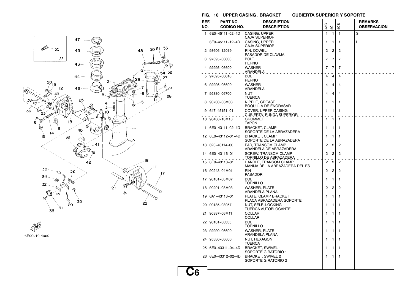





| 1 6E0-45111-02-4D<br>6E0-45111-12-4D<br>2 93606-12019<br>3 97095-06030<br>4 92995-06600<br>5 97095-06016<br>6 92995-06600<br>7 95380-06700<br>8 93700-06M03<br>$9647 - 45151 - 01$ | CASING, UPPER<br><b>CAJA SUPERIOR</b><br>CASING, UPPER<br><b>CAJA SUPERIOR</b><br>PIN, DOWEL<br>PASADOR DE CLAVIJA<br>BOLT<br><b>PERNO</b><br>WASHER<br>ARANDELA<br><b>BOLT</b><br><b>PERNO</b><br><b>WASHER</b><br>ARANDELA<br><b>NUT</b><br><b>TUERCA</b> | 4AC<br>1<br>1<br>$\overline{c}$<br>7<br>7<br>4<br>4                                                                                                        | SC<br>$\mathbf{1}$<br>1<br>2<br>7<br>7<br>4 | 503<br>$\mathbf{1}$<br>1<br>2<br>7<br>7<br>4 |                        | S<br>L |  |
|------------------------------------------------------------------------------------------------------------------------------------------------------------------------------------|-------------------------------------------------------------------------------------------------------------------------------------------------------------------------------------------------------------------------------------------------------------|------------------------------------------------------------------------------------------------------------------------------------------------------------|---------------------------------------------|----------------------------------------------|------------------------|--------|--|
|                                                                                                                                                                                    |                                                                                                                                                                                                                                                             |                                                                                                                                                            |                                             |                                              |                        |        |  |
|                                                                                                                                                                                    |                                                                                                                                                                                                                                                             |                                                                                                                                                            |                                             |                                              |                        |        |  |
|                                                                                                                                                                                    |                                                                                                                                                                                                                                                             |                                                                                                                                                            |                                             |                                              |                        |        |  |
|                                                                                                                                                                                    |                                                                                                                                                                                                                                                             |                                                                                                                                                            |                                             |                                              |                        |        |  |
|                                                                                                                                                                                    |                                                                                                                                                                                                                                                             |                                                                                                                                                            |                                             |                                              |                        |        |  |
|                                                                                                                                                                                    |                                                                                                                                                                                                                                                             |                                                                                                                                                            |                                             |                                              |                        |        |  |
|                                                                                                                                                                                    |                                                                                                                                                                                                                                                             |                                                                                                                                                            |                                             |                                              |                        |        |  |
|                                                                                                                                                                                    |                                                                                                                                                                                                                                                             |                                                                                                                                                            |                                             |                                              |                        |        |  |
|                                                                                                                                                                                    |                                                                                                                                                                                                                                                             |                                                                                                                                                            | 4                                           | 4                                            |                        |        |  |
|                                                                                                                                                                                    |                                                                                                                                                                                                                                                             | 4                                                                                                                                                          | 4                                           | 4                                            |                        |        |  |
|                                                                                                                                                                                    |                                                                                                                                                                                                                                                             | 1                                                                                                                                                          |                                             |                                              |                        |        |  |
|                                                                                                                                                                                    | NIPPLE, GREASE<br><b>BOQUILLA DE ENGRASAR</b>                                                                                                                                                                                                               |                                                                                                                                                            | 1                                           | 1                                            |                        |        |  |
|                                                                                                                                                                                    | COVER, UPPER CASING<br>CUBIERTA_FUNDA SUPERIOR                                                                                                                                                                                                              | 1                                                                                                                                                          | 1                                           | 1                                            |                        |        |  |
| 10 90480-10M13                                                                                                                                                                     | <b>GROMMET</b>                                                                                                                                                                                                                                              | $\mathbf{1}$                                                                                                                                               | 1                                           | $\mathbf{1}$                                 |                        |        |  |
| 11 6E0-43111-02-4D                                                                                                                                                                 | <b>TAPON</b><br><b>BRACKET, CLAMP</b>                                                                                                                                                                                                                       | 1                                                                                                                                                          | 1                                           | 1                                            |                        |        |  |
|                                                                                                                                                                                    | SOPORTE DE LA ABRAZADERA                                                                                                                                                                                                                                    |                                                                                                                                                            |                                             |                                              |                        |        |  |
| 12 6E0-43112-01-4D                                                                                                                                                                 | <b>BRACKET, CLAMP</b><br>SOPORTE DE LA ABRAZADERA                                                                                                                                                                                                           | 1                                                                                                                                                          | 1                                           | 1                                            |                        |        |  |
| 13 620-43114-00                                                                                                                                                                    | PAD. TRANSOM CLAMP<br>ARANDELA DE ABRAZADERA                                                                                                                                                                                                                | $\overline{c}$                                                                                                                                             | $\overline{c}$                              | 2                                            |                        |        |  |
| 14 6E0-43116-01                                                                                                                                                                    | <b>SCREW, TRANSOM CLAMP</b>                                                                                                                                                                                                                                 | $\overline{2}$                                                                                                                                             | 2                                           | $\overline{2}$                               |                        |        |  |
| 15 6E0-43118-01                                                                                                                                                                    | TORNILLO DE ABRAZADERA<br>HANDLE, TRANSOM CLAMP                                                                                                                                                                                                             | 2                                                                                                                                                          | $\overline{c}$                              | 2                                            |                        |        |  |
|                                                                                                                                                                                    | MANIJA DE LA ABRAZADERA DEL ES                                                                                                                                                                                                                              |                                                                                                                                                            |                                             |                                              |                        |        |  |
|                                                                                                                                                                                    | PASADOR                                                                                                                                                                                                                                                     |                                                                                                                                                            |                                             |                                              |                        |        |  |
| 17 90101-08M07                                                                                                                                                                     | <b>BOLT</b>                                                                                                                                                                                                                                                 | 1                                                                                                                                                          | 1                                           | 1                                            |                        |        |  |
| 18 90201-08M03                                                                                                                                                                     | <b>WASHER, PLATE</b>                                                                                                                                                                                                                                        | 2                                                                                                                                                          | 2                                           | 2                                            |                        |        |  |
| 19 6A1-43113-01                                                                                                                                                                    |                                                                                                                                                                                                                                                             | 1                                                                                                                                                          | 1                                           | 1                                            |                        |        |  |
|                                                                                                                                                                                    | PLACA ABRAZADERA SOPORTE                                                                                                                                                                                                                                    |                                                                                                                                                            |                                             |                                              |                        |        |  |
|                                                                                                                                                                                    | TUERCA AUTOBLOCANTE                                                                                                                                                                                                                                         |                                                                                                                                                            |                                             |                                              |                        |        |  |
| 21 90387-06M11                                                                                                                                                                     | COLLAR                                                                                                                                                                                                                                                      | 1                                                                                                                                                          | 1                                           | 1                                            |                        |        |  |
| 22 90101-06335                                                                                                                                                                     | <b>BOLT</b>                                                                                                                                                                                                                                                 | 1                                                                                                                                                          | 1                                           | 1                                            |                        |        |  |
| 23 92990-06600                                                                                                                                                                     |                                                                                                                                                                                                                                                             |                                                                                                                                                            |                                             |                                              |                        |        |  |
|                                                                                                                                                                                    | ARANDELA PLANA                                                                                                                                                                                                                                              |                                                                                                                                                            |                                             |                                              |                        |        |  |
|                                                                                                                                                                                    | TUERCA                                                                                                                                                                                                                                                      |                                                                                                                                                            |                                             | Т.                                           |                        |        |  |
| 25 6E0-43311-04-4D                                                                                                                                                                 | BRACKET, SWIVEL 1<br>SOPORTE GIRATORIO 1                                                                                                                                                                                                                    | $\mathbf{1}$                                                                                                                                               | $\mathbf{1}$                                | $\overline{1}$                               |                        |        |  |
|                                                                                                                                                                                    | <b>BRACKET, SWIVEL 2</b><br>SOPORTE GIRATORIO 2                                                                                                                                                                                                             | 1                                                                                                                                                          | 1                                           | $\mathbf{1}$                                 |                        |        |  |
|                                                                                                                                                                                    | 16 90243-04M01<br>20 90185-08057<br>24 95380-06600<br>26 6E0-43312-02-4D                                                                                                                                                                                    | <b>PIN</b><br>TORNILLO<br>ARANDELA PLANA<br>PLATE, CLAMP BRACKET<br>NUT, SELF-LOCKING<br>COLLAR<br><b>TORNILLO</b><br><b>WASHER, PLATE</b><br>NUT, HEXAGON | 2<br>1<br>1                                 | $\overline{c}$<br>1<br>1                     | 2<br>$\mathbf{r}$<br>1 |        |  |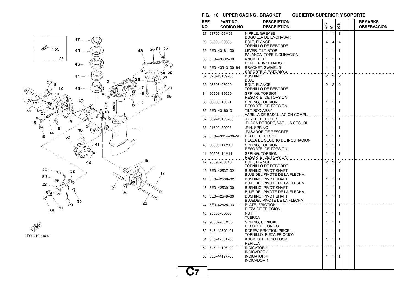

 $\begin{picture}(20,20) \put(0,0){\line(1,0){10}} \put(15,0){\line(1,0){10}} \put(15,0){\line(1,0){10}} \put(15,0){\line(1,0){10}} \put(15,0){\line(1,0){10}} \put(15,0){\line(1,0){10}} \put(15,0){\line(1,0){10}} \put(15,0){\line(1,0){10}} \put(15,0){\line(1,0){10}} \put(15,0){\line(1,0){10}} \put(15,0){\line(1,0){10}} \put(15,0){\line(1$ 6E00010-4090

#### **FIG. 10 UPPER CASING . BRACKET CUBIERTA SUPERIOR Y SOPORTE**

| REF.<br>NO. | PART NO.<br>CODIGO NO. | <b>DESCRIPTION</b><br><b>DESCRIPTION</b>                    | 4AC |                | 503            |  | <b>REMARKS</b><br><b>OBSERVACION</b> |  |  |
|-------------|------------------------|-------------------------------------------------------------|-----|----------------|----------------|--|--------------------------------------|--|--|
|             |                        |                                                             |     | 5C             |                |  |                                      |  |  |
|             | 27 93700-06M03         | NIPPLE, GREASE<br>BOQUILLA DE ENGRASAR                      | 1   | 1              | 1              |  |                                      |  |  |
|             | 28 95895-06035         | <b>BOLT. FLANGE</b><br>TORNILLO DE REBORDE                  | 4   | 4              | 4              |  |                                      |  |  |
|             | 29 6E0-43181-00        | LEVER, TILT STOP<br>PALANCA TOPE INCLINACION                | 1   | 1              | 1              |  |                                      |  |  |
|             | 30 6E0-43632-00        | <b>KNOB, TILT</b><br>PERILLA INCLINADOR                     | 1   | 1              | 1              |  |                                      |  |  |
|             | 31 6E0-43313-00-94     | <b>BRACKET, SWIVEL 3</b><br>SOPORTE GIRATORIO 3             | 1   | 1              | 1              |  |                                      |  |  |
|             | 32 620-43189-00        | BUSHING<br><b>BUJE</b>                                      | 2   | $\overline{c}$ | $\overline{c}$ |  |                                      |  |  |
|             | 33 95895-06020         | <b>BOLT, FLANGE</b><br>TORNILLO DE REBORDE                  | 2   | $\overline{c}$ | 2              |  |                                      |  |  |
|             | 34 90508-16020         | SPRING, TORSION<br>RESORTE DE TORSION                       | 1   | 1              | 1              |  |                                      |  |  |
|             | 35 90508-16021         | SPRING, TORSION<br>RESORTE DE TORSION                       | 1   | 1              | 1              |  |                                      |  |  |
|             | 36 6E0-43160-01        | <b>TILT ROD ASSY</b><br>VARILLA DE BASCULACION COMPL.       | 1   | 1              | 1              |  |                                      |  |  |
|             | 37 689-43165-00        | PLATE, TILT LOCK<br>PLACA DE TOPE, VARILLA SEGURI.          | 1   | 1              | 1              |  |                                      |  |  |
|             | 38 91690-30008         | .PIN. SPRING<br>PASADOR DE RESORTE.                         | 1   | 1              | 1              |  |                                      |  |  |
| 39          | 6E0-43614-00-5B        | PLATE, TILT LOCK<br>PLACA DE SEGURO DE INCLINACION          | 1   | 1              | 1              |  |                                      |  |  |
|             | 40 90508-14M10         | SPRING, TORSION<br>RESORTE DE TORSION                       | 1   | 1              | 1              |  |                                      |  |  |
|             | 41 90508-14M11         | SPRING, TORSION<br>RESORTE DE TORSION                       | 1   | 1              | 1              |  |                                      |  |  |
|             | 42 95895-06010         | <b>BOLT. FLANGE</b><br>TORNILLO DE REBORDE                  | 2   | $\overline{2}$ | $\overline{2}$ |  |                                      |  |  |
|             | 43 6E0-42537-02        | <b>BUSHING, PIVOT SHAFT</b><br>BUJE DEL PIVOTE DE LA FLECHA | 1   | 1              | 1              |  |                                      |  |  |
| 44          | 6E0-42538-02           | BUSHING, PIVOT SHAFT<br>BUJE DEL PIVOTE DE LA FLECHA        | 1   | 1              | 1              |  |                                      |  |  |
|             | 45 6E0-42539-00        | BUSHING, PIVOT SHAFT<br>BUJE DEL PIVOTE DE LA FLECHA        | 1   | 1              | 1              |  |                                      |  |  |
|             | 46 6E0-42549-00        | BUSHING, PIVOT SHAFT<br>BUJEDEL PIVOTE DE LA FLECHA         | 1   | 1              | 1              |  |                                      |  |  |
|             | 47 6E0-42528-03        | PLATE, FRICTION<br>PIEZA DE FRICCION                        | 1   | $\mathbf{1}$   | $\mathbf{1}$   |  |                                      |  |  |
| 48          | 95380–08600            | NUT<br>TUERCA                                               | 1   | 1              | 1              |  |                                      |  |  |
| 49          | 90502-08M05            | SPRING, CONICAL<br><b>RESORTE CONICO</b>                    | 1   | 1              | 1              |  |                                      |  |  |
|             | 50 6L5-42529-01        | SCREW, FRICTION PIECE<br>TORNILLO PIEZA FRICCION            | 1   | 1              | 1              |  |                                      |  |  |
|             | 51 6L5-42561-00        | KNOB, STEERING LOCK<br>PERILLA                              | 1   | 1              | 1              |  |                                      |  |  |
|             | 52 6L5-44196-00        | <b>INDICATOR 3</b><br><b>INDICADOR 3</b>                    | 1   | $\mathbf{1}$   | 1              |  |                                      |  |  |
|             | 53 6L5-44197-00        | <b>INDICATOR 4</b><br><b>INDICADOR 4</b>                    | 1   | 1              | 1              |  |                                      |  |  |
|             |                        |                                                             |     |                |                |  |                                      |  |  |

## **C7**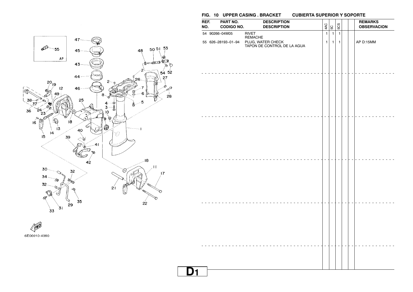

55 626−28193−01−94 PLUG, WATER CHECK 1 1 1 AP D:15MM

**REF. PART NO. DESCRIPTION REMARKS** $\left|\frac{Q}{3}\right|\mathop{\mathop{\cup}}\limits_{\omega}\left|\frac{Q}{\omega}\right|\left|\frac{Q}{\omega}\right|$   $\left|\frac{Q}{\omega}\right|$   $\left|\frac{Q}{\omega}\right|$   $\left|\frac{Q}{\omega}\right|$   $\left|\frac{Q}{\omega}\right|$   $\left|\frac{Q}{\omega}\right|$   $\left|\frac{Q}{\omega}\right|$ 

 $|5$ 5CS

54 90266−04M05 RIVET 1 1 1

TAPON DE CONTROL DE LA AGUA

REMACHE



6E00010-4090

| $\overline{a}$<br>$\sim$<br>$\overline{a}$           |  |
|------------------------------------------------------|--|
|                                                      |  |
|                                                      |  |
|                                                      |  |
|                                                      |  |
| $\overline{\phantom{a}}$<br>$\sim$                   |  |
|                                                      |  |
|                                                      |  |
|                                                      |  |
| $\overline{\phantom{a}}$<br>$\overline{\phantom{a}}$ |  |
|                                                      |  |
|                                                      |  |
|                                                      |  |
| $\overline{\phantom{0}}$                             |  |
|                                                      |  |
|                                                      |  |
|                                                      |  |
|                                                      |  |
|                                                      |  |
|                                                      |  |
|                                                      |  |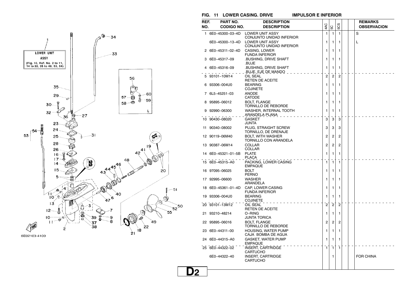

6E02100-4100

#### **FIG. 11 LOWER CASING. DRIVE IMPULSOR E INFERIOR**

| REF. | PART NO.           | <b>DESCRIPTION</b>                                 |                |                |                |  | <b>REMARKS</b>     |
|------|--------------------|----------------------------------------------------|----------------|----------------|----------------|--|--------------------|
| NO.  | <b>CODIGO NO.</b>  | <b>DESCRIPTION</b>                                 | 4AC            | 5C             | 5CS            |  | <b>OBSERVACION</b> |
|      | 1 6E0-45300-03-4D  | <b>LOWER UNIT ASSY</b><br>CONJUNTO UNIDAD INFERIOR | 1              | 1              | 1              |  | S                  |
|      | 6E0-45300-13-4D    | <b>LOWER UNIT ASSY</b><br>CONJUNTO UNIDAD INFERIOR | 1              | 1              | 1              |  | L                  |
|      | 2 6E0-45311-02-4D  | CASING, LOWER<br><b>FUNDA INFERIOR</b>             | 1              | 1              | 1              |  |                    |
| 3    | 6E0-45317-09       | BUSHING, DRIVE SHAFT<br>.BUJE                      | 1              | 1              | 1              |  |                    |
|      | 4 6E0-45316-09     | BUSHING, DRIVE SHAFT<br>BUJE, EJE DE MANDO         | 1              | 1              | 1              |  |                    |
|      | 93101-10M14        | OIL SEAL<br><b>RETEN DE ACEITE</b>                 | $\overline{2}$ | $\overline{2}$ | $\overline{2}$ |  |                    |
|      | 6 93306-004U0      | <b>BEARING</b><br>COJINETE                         | 1              | 1              | 1              |  |                    |
|      | 7 6L5-45251-03     | <b>ANODE</b><br>CATODE                             | 1              | 1              | 1              |  |                    |
|      | 8 95895-06012      | <b>BOLT, FLANGE</b><br>TORNILLO DE REBORDE         | 1              | 1              | 1              |  |                    |
| 9    | 92990-06300        | WASHER, INTERNAL TOOTH<br>ARANDELA PLANA           | 1              | 1              | 1              |  |                    |
|      | 10 90430-08020     | <b>GASKET</b><br>JUNTA                             | 3              | 3              | 3              |  |                    |
| 11   | 90340-08002        | PLUG. STRAIGHT SCREW<br>TORNILLO, DE DRENAJE       | 3              | 3              | 3              |  |                    |
|      | 12 90119-06M40     | <b>BOLT, WITH WASHER</b><br>TORNILLO CON ARANDELA  | 2              | 2              | 2              |  |                    |
|      | 13 90387-06M14     | <b>COLLAR</b><br><b>COLLAR</b>                     | 2              | 2              | 2              |  |                    |
|      | 14 6E0-45321-01-5B | <b>PLATE</b><br><b>PLACA</b>                       | 1              | 1              | 1              |  |                    |
|      | 15 6E0-45315-A0    | PACKING, LOWER CASING<br><b>EMPAQUE</b>            | 1              | $\mathbf{1}$   | 1              |  |                    |
|      | 16 97095-06025     | <b>BOLT</b><br><b>PERNO</b>                        | 1              | 1              | 1              |  |                    |
|      | 17 92995-06600     | <b>WASHER</b><br>ARANDELA                          | 1              | 1              | 1              |  |                    |
|      | 18 6E0-45361-01-4D | CAP, LOWER CASING<br><b>FUNDA INFERIOR</b>         | 1              | 1              | 1              |  |                    |
|      | 19 93306-004U0     | <b>BEARING</b><br><b>COJINETE</b>                  | 1              | 1              | 1              |  |                    |
|      | 20 93101-13M12     | OIL SEAL<br><b>RETEN DE ACEITE</b>                 | $\overline{2}$ | $\overline{2}$ | $\overline{2}$ |  |                    |
|      | 21 93210-48214     | O-RING<br>JUNTA TORICA                             | 1              | 1              | 1              |  |                    |
|      | 22 95895-06016     | <b>BOLT, FLANGE</b><br>TORNILLO DE REBORDE         | $\overline{2}$ | 2              | 2              |  |                    |
|      | 23 6E0-44311-00    | HOUSING, WATER PUMP<br>CAJA BOMBA DE AGUA          | 1              | 1              | 1              |  |                    |
|      | 24 6E0-44315-A0    | <b>GASKET, WATER PUMP</b><br><b>EMPAQUE</b>        | 1              | 1              | 1              |  |                    |
|      | 25 6E0-44322-02    | INSERT, CARTRIDGE<br><b>CARTUCHO</b>               | $\mathbf{1}$   | $\mathbf{1}$   | 1              |  |                    |
|      | 6E0-44322-40       | <b>INSERT, CARTRIDGE</b><br><b>CARTUCHO</b>        |                | 1              |                |  | <b>FOR CHINA</b>   |
|      |                    |                                                    |                |                |                |  |                    |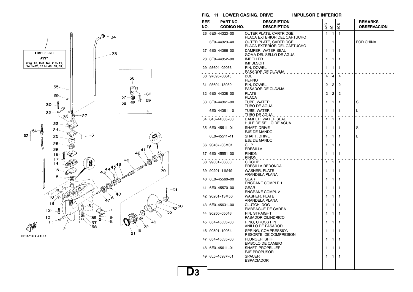

#### **FIG. 11 LOWER CASING. DRIVE IMPULSOR E INFERIOR**

| REF. | PART NO.          | <b>DESCRIPTION</b>                                    |              |                |              |  | <b>REMARKS</b>     |
|------|-------------------|-------------------------------------------------------|--------------|----------------|--------------|--|--------------------|
| NO.  | <b>CODIGO NO.</b> | <b>DESCRIPTION</b>                                    | 4AC          | 5C             | 503          |  | <b>OBSERVACION</b> |
|      | 26 6E0-44323-00   | OUTER PLATE, CARTRIDGE<br>PLACA EXTERIOR DEL CARTUCHO | 1            | $\mathbf{1}$   | $\mathbf{1}$ |  |                    |
|      | 6E0-44323-40      | OUTER PLATE, CARTRIDGE<br>PLACA EXTERIOR DEL CARTUCHO |              | 1              |              |  | <b>FOR CHINA</b>   |
|      | 27 6E0-44366-00   | DAMPER, WATER SEAL<br>GOMA DEL SELLO DE AGUA          | 1            | 1              | 1            |  |                    |
|      | 28 6E0-44352-00   | <b>IMPELLER</b><br><b>IMPULSOR</b>                    | 1            | 1              | 1            |  |                    |
|      | 29 93604-09066    | PIN, DOWEL<br>PASADOR DE CLAVIJA                      | 1            | 1              | 1            |  |                    |
|      | 30 97095-06045    | <b>BOLT</b><br><b>PERNO</b>                           | 4            | $\overline{4}$ | 4            |  |                    |
|      | 31 93604-18080    | PIN, DOWEL<br>PASADOR DE CLAVIJA                      | 2            | 2              | 2            |  |                    |
|      | 32 6E0-44328-00   | <b>PLATE</b><br><b>PLACA</b>                          | 2            | 2              | 2            |  |                    |
|      | 33 6E0-44361-00   | TUBE, WATER<br>TUBO DE AGUA                           | 1            | 1              | 1            |  | S                  |
|      | 6E0-44361-10      | TUBE, WATER<br><u>TUBO DE AGUA -</u>                  | 1            | 1              | 1            |  | L                  |
|      | 34 646-44365-00   | DAMPER, WATER SEAL<br>HULE DE SELLO DE AGUA           | 1            | $\mathbf{1}$   | 1            |  |                    |
|      | 35 6E0-45511-01   | SHAFT, DRIVE<br>EJE DE MANDO                          | 1            | 1              | 1            |  | S                  |
|      | 6E0-45511-11      | SHAFT, DRIVE<br>EJE DE MANDO                          | 1            | 1              | 1            |  | L                  |
|      | 36 90467-08M01    | <b>CLIP</b><br>PRESILLA                               | 1            | 1              | 1            |  |                    |
|      | 37 6E0-45551-00   | <b>PINION</b><br><b>PINON</b>                         | 1            | 1              | 1            |  |                    |
|      | 38 99001-06600    | <b>CIRCLIP</b><br>PRESILLA REDONDA                    | $\mathbf{1}$ | $\mathbf{1}$   | 1            |  |                    |
|      | 39 90201-11M49    | <b>WASHER, PLATE</b><br>ARANDELA PLANA                | 1            | 1              | 1            |  |                    |
|      | 40 6E0-45560-00   | <b>GEAR</b><br><b>ENGRANE COMPLE 1</b>                | 1            | 1              | 1            |  |                    |
|      | 41 6E0-45570-00   | <b>GEAR</b><br><b>ENGRANE COMPL 2</b>                 | 1            | 1              | 1            |  |                    |
|      | 42 90201-13M50    | <b>WASHER, PLATE</b><br>ARANDELA PLANA                | 1            | 1              | 1            |  |                    |
|      | 43 6E0-45631-00   | CLUTCH, DOG<br><b>EMBRAGUE DE GARRA</b>               | $\mathbf{1}$ | $\mathbf{1}$   | $\mathbf{1}$ |  |                    |
|      | 44 90250-05046    | PIN. STRAIGHT<br>PASADOR CILINDRICO                   | 1            | 1              | 1            |  |                    |
|      | 45 654-45633-00   | RING, CROSS PIN<br>ANILLO DE PASADOR                  | 1            | 1              | 1            |  |                    |
|      | 46 90501-10064    | SPRING, COMPRESSION<br>RESORTE DE COMPRESION          | 1            | 1              | 1            |  |                    |
|      | 47 654-45635-00   | PLUNGER, SHIFT<br>EMBOLO DE CAMBIO                    | 1            | 1              | 1            |  |                    |
|      | 48 6E0-45611-01   | SHAFT, PROPELLER<br>EJE PROPUSOR                      | 1            | $\mathbf{1}$   | 1            |  |                    |
|      | 49 6L5-45987-01   | <b>SPACER</b><br><b>ESPACIADOR</b>                    | 1            | 1              | 1            |  |                    |
|      |                   |                                                       |              |                |              |  |                    |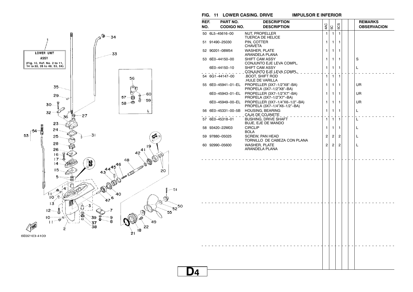



| REF. | PART NO.           | <b>DESCRIPTION</b>                                             |                |                |                |  | <b>REMARKS</b>     |
|------|--------------------|----------------------------------------------------------------|----------------|----------------|----------------|--|--------------------|
| NO.  | <b>CODIGO NO.</b>  | <b>DESCRIPTION</b>                                             | 4AC            | 5C             | 5CS            |  | <b>OBSERVACION</b> |
|      | 50 6L5-45616-00    | NUT, PROPELLER<br><b>TUERCA DE HELICE</b>                      | 1              | $\mathbf{1}$   | $\mathbf{1}$   |  |                    |
|      | 51 91490-25030     | PIN. COTTER<br><b>CHAVETA</b>                                  | 1              | $\mathbf{1}$   | 1              |  |                    |
|      | 52 90201-08M54     | <b>WASHER, PLATE</b><br>ARANDELA PLANA                         | 1              | 1              | 1              |  |                    |
|      | 53 6E0-44150-00    | SHIFT CAM ASSY<br>CONJUNTO EJE LEVA COMPL.                     | 1              | 1              | 1              |  | S                  |
|      | 6E0-44150-10       | SHIFT CAM ASSY<br>CONJUNTO EJE LEVA COMPL.                     | 1              | $\mathbf{1}$   | 1              |  | L                  |
|      | 54 6G1-44147-00    | <b>BOOT, SHIFT ROD</b><br>HULE DE VARILLA                      | 1              | $\mathbf{1}$   | $\mathbf{1}$   |  |                    |
|      | 55 6E0-45941-01-EL | PROPELLER (3X7-1/2"X8"-BA)<br>PROPELA (3X7-1/2"X8"-BA)         | 1              | 1              | 1              |  | UR                 |
|      | 6E0-45943-01-EL    | PROPELLER (3X7-1/2"X7"-BA)<br>PROPELA (3X7-1/2"X7"-BA)         | 1              | 1              | 1              |  | UR                 |
|      | 6E0-45949-00-EL    | PROPELLER (3X7-1/4"X6-1/2"-BA)<br>PROPELA (3X7-1/4"X6-1/2"-BA) | 1              | $\mathbf{1}$   | 1              |  | UR                 |
|      | 56 6E0-45331-00-5B | <b>HOUSING, BEARING</b><br>CAJA DE COJINETE                    | 1              | $\mathbf{1}$   | 1              |  | L                  |
|      | 57 6E0-45318-01    | <b>BUSHING, DRIVE SHAFT</b><br><b>BUJE, EJE DE MANDO</b>       | 1              | $\mathbf{1}$   | $\mathbf{1}$   |  | L                  |
|      | 58 93420-22M03     | <b>CIRCLIP</b><br><b>BOLA</b>                                  | 1              | 1              | 1              |  | L                  |
|      | 59 97880-05025     | <b>SCREW, PAN HEAD</b><br>TORNILLO DE CABEZA CON PLANA         | $\overline{2}$ | $\overline{c}$ | $\overline{2}$ |  | L                  |
|      | 60 92990-05600     | <b>WASHER, PLATE</b><br>ARANDELA PLANA                         | $\overline{2}$ | $\overline{c}$ | $\overline{2}$ |  | Г                  |
|      |                    |                                                                |                |                |                |  |                    |
|      |                    |                                                                |                |                |                |  |                    |
|      |                    |                                                                |                |                |                |  |                    |
|      |                    |                                                                |                |                |                |  |                    |
|      |                    |                                                                |                |                |                |  |                    |
|      |                    |                                                                |                |                |                |  |                    |
|      |                    |                                                                |                |                |                |  |                    |
|      |                    |                                                                |                |                |                |  |                    |
|      |                    |                                                                |                |                |                |  |                    |
|      |                    |                                                                |                |                |                |  |                    |
|      |                    |                                                                |                |                |                |  |                    |
|      |                    |                                                                |                |                |                |  |                    |
|      |                    |                                                                |                |                |                |  |                    |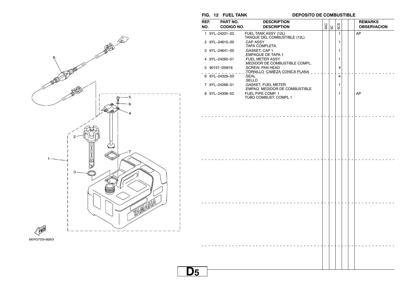**FIG. 12 FUEL TANK DEPOSITO DE COMBUSTIBLE**



| REF.<br>NO. | PART NO.<br><b>CODIGO NO.</b> | <b>DESCRIPTION</b><br><b>DESCRIPTION</b>             | 4AC | SC | 5CS            |  | <b>REMARKS</b><br><b>OBSERVACION</b> |
|-------------|-------------------------------|------------------------------------------------------|-----|----|----------------|--|--------------------------------------|
|             | 1 6YL-24201-02                | FUEL TANK ASSY (12L)<br>TANQUE DEL COMBUSTIBLE (12L) |     |    | $\mathbf{1}$   |  | AP                                   |
|             | 2 6YL-24610-00                | .CAP ASSY<br>TAPA COMPLETA                           |     |    | 1              |  |                                      |
|             | 3 6YL-24641-00                | .GASKET, CAP 1<br>.EMPAQUE DE TAPA 1                 |     |    | 1              |  |                                      |
|             | 4 6YL-24260-01                | .FUEL METER ASSY<br>.MEDIDOR DE COMBUSTIBLE COMPL.   |     |    | 1              |  |                                      |
|             | 5 90157-05M16                 | .SCREW, PAN HEAD<br>_ TORNILLO_CABEZA CONICA PLANA   |     |    | 4              |  |                                      |
|             | 6 6YL-24329-00                | .SEAL<br>.SELLO                                      |     |    | $\overline{4}$ |  |                                      |
|             | 7 6YL-24268-01                | .GASKET, FUEL METER<br>.EMPAQ MEDIDOR DE COMBUSTIBLE |     |    | 1              |  |                                      |
|             | 8 6YL-24306-52                | FUEL PIPE COMP. 1<br>TUBO COMBUST. COMPL 1           |     |    | 1              |  | AP                                   |
|             |                               |                                                      |     |    |                |  |                                      |
|             |                               |                                                      |     |    |                |  |                                      |
|             |                               |                                                      |     |    |                |  |                                      |
|             |                               |                                                      |     |    |                |  |                                      |
|             |                               |                                                      |     |    |                |  |                                      |
|             |                               |                                                      |     |    |                |  |                                      |
|             |                               |                                                      |     |    |                |  |                                      |
|             |                               |                                                      |     |    |                |  |                                      |
|             |                               |                                                      |     |    |                |  |                                      |
|             |                               |                                                      |     |    |                |  |                                      |
|             |                               |                                                      |     |    |                |  |                                      |
|             |                               |                                                      |     |    |                |  |                                      |
|             |                               |                                                      |     |    |                |  |                                      |
|             |                               |                                                      |     |    |                |  |                                      |
|             |                               |                                                      |     |    |                |  |                                      |
|             |                               |                                                      |     |    |                |  |                                      |
|             |                               |                                                      |     |    |                |  |                                      |
|             |                               |                                                      |     |    |                |  |                                      |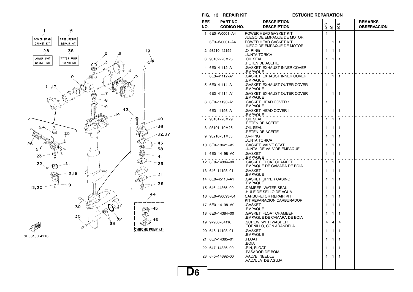



**FIG. 13 REPAIR KIT ESTUCHE REPARATION**

| REF. | PART NO.          | <b>DESCRIPTION</b>                                         |              |                |     |  | <b>REMARKS</b>     |
|------|-------------------|------------------------------------------------------------|--------------|----------------|-----|--|--------------------|
| NO.  | <b>CODIGO NO.</b> | <b>DESCRIPTION</b>                                         | 4AC          | SC             | 5CS |  | <b>OBSERVACION</b> |
|      | 1 6E0-W0001-A4    | POWER HEAD GASKET KIT<br>JUEGO DE EMPAQUE DE MOTOR         | 1            |                |     |  |                    |
|      | 6E3-W0001-A4      | POWER HEAD GASKET KIT<br>JUEGO DE EMPAQUE DE MOTOR         |              | 1              | 1   |  |                    |
|      | 93210-42159       | .O-RING<br>JUNTA TORICA                                    | 1            | $\mathbf{1}$   | 1   |  |                    |
|      | 3 93102-20M25     | OIL SEAL<br><b>.RETEN DE ACEITE</b>                        | 1            | 1              | 1   |  |                    |
|      | 4 6E0-41112-A1    | .GASKET, EXHAUST INNER COVER<br>$EMPAQUE$ ,,,,,            | 1            |                |     |  |                    |
|      | 6E3-41112-A1      | .GASKET, EXHAUST INNER COVER<br>.EMPAQUE                   |              | $\mathbf{1}$   | 1   |  |                    |
|      | 5 6E0-41114-A1    | .GASKET, EXHAUST OUTER COVER<br>.EMPAQUE                   | 1            |                |     |  |                    |
|      | 6E3-41114-A1      | .GASKET, EXHAUST OUTER COVER<br>.EMPAQUE                   |              | 1              | 1   |  |                    |
|      | 6 6E0-11193-A1    | .GASKET, HEAD COVER 1<br>.EMPAQUE                          | 1            |                |     |  |                    |
|      | 6E3-11193-A1      | .GASKET, HEAD COVER 1<br>.EMPAQUE                          |              | 1              | 1   |  |                    |
|      | 93101-20M29       | <b>OIL SEAL</b><br><b>.RETEN DE ACEITE</b>                 | $\mathbf{1}$ | $\mathbf{1}$   | 1   |  |                    |
|      | 8 93101-10M25     | OIL SEAL<br><b>.RETEN DE ACEITE</b>                        | 1            | 1              | 1   |  |                    |
|      | 9 93210-31MJ5     | .O-RING<br>JUNTA TORICA                                    | 1            | 1              | 1   |  |                    |
|      | 10 6E0-13621-A2   | .GASKET, VALVE SEAT<br>JUNTA, DE VALV.DE EMPAQUE           | 1            | 1              | 1   |  |                    |
|      | 11 6E0-14198-A0   | .GASKET<br>.EMPAQUE                                        | 1            | 1              | 1   |  |                    |
|      | 12 6E0-14384-00   | <b>GASKET, FLOAT CHAMBER</b><br>EMPAQUE DE CAMARA DE BOIA. | 1            | $\mathbf{1}$   | 1   |  |                    |
|      | 13 646-14198-01   | .GASKET<br>.EMPAQUE                                        | 1            | 1              | 1   |  |                    |
|      | 14 6E0-45113-A1   | .GASKET, UPPER CASING<br>.EMPAQUE                          | 1            | 1              | 1   |  |                    |
|      | 15 646-44365-00   | .DAMPER, WATER SEAL<br>HULE DE SELLO DE AGUA               | 1            | 1              | 1   |  |                    |
|      | 16 6E0-W0093-04   | CARBURETOR REPAIR KIT<br>KIT REPARACION CARBURADOR         | 1            | 1              | 1   |  |                    |
|      | 17 6E0-14198-A0   | .GASKET<br>.EMPAQUE                                        | 1            | $\overline{1}$ | 1   |  |                    |
|      | 18 6E0-14384-00   | .GASKET, FLOAT CHAMBER<br>EMPAQUE DE CAMARA DE BOIA.       | 1            | 1              | 1   |  |                    |
|      | 19 97980-04116    | .SCREW, WITH WASHER<br>.TORNILLO, CON ARANDELA             | 4            | $\overline{4}$ | 4   |  |                    |
|      | 20 646-14198-01   | .GASKET<br>.EMPAQUE                                        | 1            | 1              | 1   |  |                    |
|      | 21 6E7-14385-01   | .FLOAT<br>.BOIA                                            | 1            | 1              | 1   |  |                    |
|      | 22 647-14386-00   | PIN, FLOAT<br>PASADOR DE BOIA.                             | E.           | ٦.             | 1   |  |                    |
|      | 23 6F5-14392-00   | .VALVE, NEEDLE<br>VALVULA DE AGUJA                         | 1            | 1              | 1   |  |                    |
|      |                   |                                                            |              |                |     |  |                    |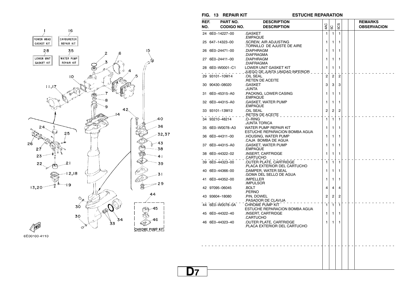

**FIG. 13 REPAIR KIT ESTUCHE REPARATION**

| REF.<br>NO. | PART NO.<br><b>CODIGO NO.</b> | <b>DESCRIPTION</b><br><b>DESCRIPTION</b>                | 4AC            | 5C             | 503            |  | <b>REMARKS</b><br><b>OBSERVACION</b> |  |
|-------------|-------------------------------|---------------------------------------------------------|----------------|----------------|----------------|--|--------------------------------------|--|
|             | 24 6E0-14227-00               | .GASKET<br>.EMPAQUE                                     | 1              | 1              | 1              |  |                                      |  |
|             | 25 647-14323-00               | .SCREW, AIR ADJUSTING<br>TORNILLO DE AJUSTE DE AIRE     | 1              | 1              | 1              |  |                                      |  |
|             | 26 6E0-24471-00               | .DIAPHRAGM<br>.DIAFRAGMA                                | 1              | 1              | 1              |  |                                      |  |
|             | 27 6E0-24411-00               | .DIAPHRAGM<br>.DIAFRAGMA                                | 1              | 1              | 1              |  |                                      |  |
|             | 28 6E0-W0001-C1               | LOWER UNIT GASKET KIT<br>JUEGO DE JUNTA UNIDAD INFERIOR | 1              | 1              | 1              |  |                                      |  |
|             | 29 93101-10M14                | OIL SEAL<br><b>RETEN DE ACEITE</b>                      | $\overline{2}$ | 2              | $\overline{2}$ |  |                                      |  |
|             | 30 90430-08020                | .GASKET<br>.JUNTA                                       | 3              | 3              | 3              |  |                                      |  |
|             | 31 6E0-45315-A0               | .PACKING, LOWER CASING<br>.EMPAQUE                      | 1              | 1              | 1              |  |                                      |  |
|             | 32 6E0-44315-A0               | .GASKET, WATER PUMP<br>.EMPAQUE                         | 1              | 1              | 1              |  |                                      |  |
|             | 33 93101-13M12                | OIL SEAL<br>RETEN DE ACEITE                             | $\overline{2}$ | $\overline{2}$ | $\overline{2}$ |  |                                      |  |
|             | 34 93210-48214                | .O-RING<br>JUNTA TORICA                                 | 1              | $\mathbf{1}$   | 1              |  |                                      |  |
|             | 35 6E0-W0078-A3               | WATER PUMP REPAIR KIT<br>ESTUCHE REPARACION BOMBA AGUA  | 1              | 1              | 1              |  |                                      |  |
|             | 36 6E0-44311-00               | .HOUSING, WATER PUMP<br>CAJA BOMBA DE AGUA              | 1              | 1              | 1              |  |                                      |  |
|             | 37 6E0-44315-A0               | .GASKET, WATER PUMP<br>.EMPAQUE                         | 1              | 1              | 1              |  |                                      |  |
|             | 38 6E0-44322-02               | <b>INSERT, CARTRIDGE</b><br>.CARTUCHO                   | 1              | 1              | 1              |  |                                      |  |
|             | 39 6E0-44323-00               | OUTER PLATE, CARTRIDGE<br>PLACA EXTERIOR DEL CARTUCHO.  | 1              | $\mathbf{1}$   | 1              |  |                                      |  |
|             | 40 6E0-44366-00               | .DAMPER, WATER SEAL<br>GOMA DEL SELLO DE AGUA.          | 1              | 1              | 1              |  |                                      |  |
|             | 41 6E0-44352-00               | .IMPELLER<br>.IMPULSOR                                  | 1              | 1              | 1              |  |                                      |  |
|             | 42 97095-06045                | .BOLT<br>.PERNO                                         | 4              | 4              | 4              |  |                                      |  |
|             | 43 93604-18080                | .PIN, DOWEL<br>PASADOR DE CLAVIJA.                      | 2              | $\overline{c}$ | 2              |  |                                      |  |
|             | 44 6E0-W0078-0A               | <b>CHROME PUMP KIT</b><br>ESTUCHE REPARACION BOMBA AGUA | $\mathbf{1}$   | $\mathbf{1}$   | $\mathbf{1}$   |  |                                      |  |
|             | 45 6E0-44322-40               | .INSERT, CARTRIDGE<br>CARTUCHO                          | 1              | 1              | 1              |  |                                      |  |
|             | 46 6E0-44323-40               | .OUTER PLATE, CARTRIDGE<br>PLACA EXTERIOR DEL CARTUCHO  | 1              | 1              | 1              |  |                                      |  |
|             |                               |                                                         |                |                |                |  |                                      |  |
|             |                               |                                                         |                |                |                |  |                                      |  |
|             |                               |                                                         |                |                |                |  |                                      |  |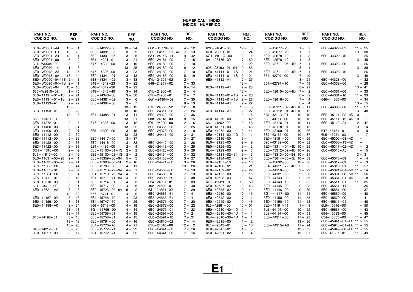#### **NUMERICAL INDEXINDICE NUMERICO**

| <b>PART NO.</b><br><b>CODIGO NO.</b> | REF.<br>NO.          | <b>PART NO.</b><br><b>CODIGO NO.</b> | REF.<br>NO.             | PART NO.<br><b>CODIGO NO.</b>  | REF.<br>NO.           | PART NO.<br><b>CODIGO NO.</b>   | REF.<br>NO.             | <b>PART NO.</b><br><b>CODIGO NO.</b> | REF.<br>NO.             | PART NO.<br><b>CODIGO NO.</b>                   | REF.<br>NO. |
|--------------------------------------|----------------------|--------------------------------------|-------------------------|--------------------------------|-----------------------|---------------------------------|-------------------------|--------------------------------------|-------------------------|-------------------------------------------------|-------------|
| 6E0-W0001-A4                         | $13 - 1$             | 6E0-14227-00                         | $13 - 24$               | $6G1 - 15779 - 00$             | $4 - 12$              | $6YL - 24641 - 00$              | $12 - 3$                | 6E0-42677-20                         | $1 - 7$                 | 6E0-44322-02                                    | $11 - 25$   |
| 6E0-W0001-C1                         | $13 - 28$            | 6E0-14301-05                         | $3 - 5$                 | $6E0 - 24110 - 01 - 4D$ 7 - 13 |                       | 6E0-26301-01                    | $9 - 24$                | 6E3-42677-20                         | $1 - 7$                 |                                                 | $13 - 38$   |
| 6E3-W0001-A4                         | $13 - 1$             | 6E3-14301-05                         | $3 - 5$                 | $6A1 - 2415A - 41$             | $9 - 42$              | $6G1 - 2811G - 00$              | $8 - 11$                | 6E0-42678-12                         | $1 - 8$                 | 6E0-44322-40                                    | $11 - 25$   |
| 6E0-W0004-00                         | $3 - 2$              | $664 - 14321 - 01$                   | $3 - 21$                | $6E0 - 24181 - 00$             | $7 - 15$              | $6A1 - 28176 - 00$              | $7 - 50$                | 6E3-42678-12                         | $1 -$<br>-8             |                                                 | $13 - 45$   |
| $6J1 - W0004 - 00$                   | $3 - 2$              | $647 - 14323 - 00$                   | $3 - 19$                | 6E0-24182-00                   | $7 - 10$              |                                 | $8 - 22$                | $6E0 - 42711 - 05 - 4D$ 7 -          | $\overline{1}$          | 6E0-44323-00                                    | $11 - 26$   |
| 6E0-W0070-14                         | $1 - 6$              |                                      | $13 - 25$               | 6E1-24182-00                   | $8 - 12$              | $626 - 28193 - 01 - 94$ 10 - 55 |                         |                                      | $8 - 1$                 |                                                 | $13 - 39$   |
| 6E0-W0078-A3                         | $13 - 35$            | $647 - 14326 - 00$                   | $3 - 23$                | 6E3-24182-00                   | $7 - 10$              | $6E0 - 41111 - 01 - 1S$         | $2 - 24$                | 6E0-42711-10-4D                      | $7 - 1$                 | 6E0-44323-40                                    | $11 - 26$   |
| 6E0-W0078-0A                         | $13 - 44$            | 6E0-14341-01                         | $3 - 13$                | 6E0-24183-00                   | $5 - 19$              | $6E3 - 41111 - 01 - 1S$         | $2 - 24$                | $664 - 42791 - 00$                   | $7 - 49$                |                                                 | $13 - 46$   |
| $6E0-W0090-04-1S$ 2-1                |                      | 6E3-14341-02                         | $3 - 13$                | 6YL-24201-02                   | $12 - 1$              | 6E0-41112-A1                    | $2 - 25$                |                                      | $8 - 21$                | 6E0-44328-00                                    | $11 - 32$   |
| $6E3-W0090-04-1S$ 2-1                |                      | $648 - 14342 - 23$                   | $3 - 22$                | $646 - 24251 - 02$             | $7 - 33$              |                                 | $13 - 4$                | $664 - 42791 - 10$                   | $7 - 49$                | 6E0-44352-00                                    | $11 - 28$   |
| 6E0-W0093-04                         | $13 - 16$            | $648 - 14342 - 26$                   | $3 - 22$                |                                | $8 - 14$              | 6E3-41112-A1                    | $2 - 25$                |                                      | $8 - 21$                |                                                 | $13 - 41$   |
| 656-W2810-02                         | $1 - 10$             | $648 - 14343 - 40$                   | $3 - 14$                | $6YL - 24260 - 01$             | $12 - 4$              |                                 | $13 - 4$                | 6E0-42815-00-4D                      | $7 -$<br>$\overline{2}$ | $6E0 - 44361 - 00$                              | $11 - 33$   |
| $6E0 - 11191 - 01 - 1S$ 2 - 21       |                      | 6E0-14346-00                         | $3 - 30$                | $6YL - 24268 - 01$             | $12 - 7$              | 6E0-41113-01-1S                 | $2 - 26$                |                                      | $\overline{2}$<br>$8-$  | $6E0 - 44361 - 10$                              | $11 - 33$   |
| $6E3 - 11191 - 01 - 1S$              | $2 - 21$             | $6E0 - 14381 - 02$                   | $3 - 6$                 | $6G1 - 24304 - 02$             | $7 - 35$              | $6E3 - 41113 - 01 - 1S$         | $2 - 26$                | 6E0-42816-00                         | $7 - 4$                 | $646 - 44365 - 00$                              | $11 - 34$   |
| 6E0-11193-A1                         | $2 - 22$             | 6E0-14384-00                         | $3 - 7$                 |                                | $8 - 13$              | 6E0-41114-A1                    | $2 - 27$                |                                      | $8 - 4$                 |                                                 | $13 - 15$   |
|                                      | $13 - 6$             |                                      | $13 - 12$               | 6YL-24306-52                   | $12 - 8$              |                                 | $13 - 5$                | $6E0 - 43111 - 02 - 4D$ 10 - 11      |                         | 6E0-44366-00                                    | $11 - 27$   |
| 6E3-11193-A1                         | $2 - 22$             |                                      | $13 - 18$               | $6E0 - 24311 - 00$             | $7 - 26$              | 6E3-41114-A1                    | $2 - 27$                | 6E0-43112-01-4D 10-12                |                         |                                                 | $13 - 40$   |
|                                      | $13 - 6$             | 6E7-14385-01                         | $3 - 11$                | 6E0-24312-00                   | $7 - 36$              |                                 | $13 - 5$                | $6A1 - 43113 - 01$                   | $10 - 19$               | 6E0-45111-02-4D 10- 1                           |             |
| $650 - 11370 - 01$                   | $2 - 3$              |                                      | $13 - 21$               | $688 - 24313 - 00$             | $8 - 15$              | 6E0-41256-00                    | $3 - 42$                | $620 - 43114 - 00$                   | $10 - 13$               | 6E0-45111-12-4D                                 | $10 - 1$    |
| 6E5-11372-01                         | $2 - 5$              | $647 - 14386 - 00$                   | $3 - 12$                | 6YL-24329-00                   | $12 - 6$              | $661 - 41262 - 02$              | $3 - 46$                | 6E0-43116-01                         | $10 - 14$               | 6E0-45113-A1                                    | $2 - 47$    |
| 6E0-11400-00                         | $2 - 31$             |                                      | $13 - 22$               | 6E0-24335-00                   | $7 - 25$              | 6E0-41271-00                    | $3 - 43$                | 6E0-43118-01                         | $10 - 15$               |                                                 | $13 - 14$   |
| 6E3-11400-00                         | $2 - 31$             | 6F5-14392-00                         | $3 - 15$                | 6E0-24378-00                   | $2 - 9$               | 6E0-41272-00                    | $3 - 44$                | 6E0-43160-01                         | $10 - 36$               | $647 - 45151 - 01$                              | $10 - 9$    |
| 6E0-11412-00                         | $2 - 32$             |                                      | $13 - 23$               | 6E0-24411-00                   | $3 - 31$              | 6E0-42111-02-4D                 | $9 - 1$                 | $689 - 43165 - 00$                   | $10 - 37$               | $6L5 - 45251 - 03$                              | $11 - 7$    |
| 6E3-11412-00                         | $2 - 32$             | 6E0-14417-00                         | $3 - 37$                |                                | $13 - 27$             | 6E0-42119-00                    | $9 - 14$                | 6E0-43181-00                         | $10 - 29$               | $6E0 - 45300 - 03 - 4D$ 11 - 1                  |             |
| 6E0-11422-00                         | $2 - 33$             | 6E0-14418-00                         | $3 - 38$                | 6E0-24412-00                   | $3 - 28$              | 6E0-42125-00                    | $9 - 9$                 | $620 - 43189 - 00$                   | $10 - 32$               | $6E0 - 45300 - 13 - 4D$ 11 - 1                  |             |
| 6E3-11422-00                         | $2 - 33$             | $624 - 14485 - 00$                   | $2 - 4$                 | 6E0-24413-00                   | $3 - 25$              | 6E0-42129-02                    | $\overline{2}$<br>$9 -$ | $6E0 - 43311 - 04 - 4D$ 10 - 25      |                         | 6E0-45311-02-4D 11- 2                           |             |
| $6G1 - 11610 - 00$                   | $2 - 42$             | $6E0 - 15100 - 01 - 1S$              | $\overline{2}$<br>$2 -$ | 6E0-24423-00                   | $3 - 29$              | 6E4-42129-00                    | - 3<br>$9 -$            | $6E0 - 43312 - 02 - 4D$ 10 - 26      |                         | 6E0-45315-A0                                    | $11 - 15$   |
| $6J1 - 11610 - 00$                   | $2 - 42$             | $6E3 - 15100 - 02 - 1S$              | $2 -$<br>$\overline{2}$ | 6E0-24434-00                   | $3 - 32$              | 6E0-42131-02-94                 | $9 - 5$                 | 6E0-43313-00-94 10- 31               |                         |                                                 | $13 - 31$   |
| 6E0-11631-00-98                      | $2 - 41$             | 6E0-15359-00-94                      | 5<br>$5 -$              | 6E0-24435-00                   | $3 - 27$              | 6E0-42134-02                    | $9 - 10$                | $6E0 - 43614 - 00 - 5B$ 10 - 39      |                         | 6E0-45316-09                                    | $11 - 4$    |
| 6E3-11631-00-98                      | $2 - 41$             | 6E0-15396-03-5B                      | $2 - 16$                | 6E0-24471-00                   | $3 - 26$              | 6E0-42137-10                    | $9 - 16$                | 6E0-43632-00                         | $10 - 30$               | 6E0-45317-09                                    | $11 - 3$    |
| $6G1 - 11633 - 00$                   |                      |                                      |                         |                                |                       |                                 |                         |                                      |                         |                                                 |             |
| $6E0 - 11651 - 01$                   | $2 - 44$<br>$2 - 37$ | 6E0-15705-00                         | $4 - 11$<br>$4 - 1$     | 6E0-24500-00                   | $13 - 26$<br>$7 - 19$ | 6E0-42138-01                    | $9 - 21$<br>$9 - 22$    | 6E4-44111-72-4D                      | $9 - 25$                | 6E0-45318-01<br>$6E0 - 45321 - 01 - 5B$ 11 - 14 | $11 - 57$   |
|                                      |                      | 6E0-15710-72-94                      |                         |                                |                       | 6E0-42159-02                    |                         | 6E0-44116-00                         | $9 - 29$                |                                                 |             |
| $6G1 - 11681 - 00$                   | $2 - 34$             | 6E4-15710-73-94                      | $4 - 1$                 | 6E0-24500-10                   | $7 - 19$              | 6E0-42177-00                    | $9 - 15$                | 6E0-44121-00                         | $9 - 33$                | $6E0 - 45331 - 00 - 5B$ 11 - 56                 |             |
| 6E5-12411-01                         | $2 - 46$             | 6E4-15711-71-94                      | $\overline{2}$<br>$4-$  | 6E0-24500-60                   | $7 - 38$              | 6E0-42528-03                    | $10 - 47$               | 6E0-44143-00                         | $9 - 35$                | $6E0 - 45361 - 01 - 4D$ 11 - 18                 |             |
| 6E0-13610-00                         | $3 - 1$              | 6E0-15714-01                         | 3<br>$4 -$              | $624 - 24521 - 01$             | $7 - 39$              | $6L5 - 42529 - 01$              | $10 - 50$               | 6E0-44143-10                         | $9 - 35$                | $6E0 - 45511 - 01$                              | $11 - 35$   |
| $6J1 - 13610 - 00$                   | $3 - 1$              | 6E0-15717-00                         | 5<br>$4-$               | $102 - 24522 - 01$             | $7 - 40$              | 6E0-42537-02                    | $10 - 43$               | 6E0-44145-00                         | $9 - 38$                | $6E0 - 45511 - 11$                              | $11 - 35$   |
| 6E0-13621-A2                         | $3 - 3$              | 6E0-15723-00-94                      | $\overline{2}$<br>$5 -$ | $6J1 - 24524 - 00$             | $7 - 29$              | 6E0-42538-02                    | $10 - 44$               | 6E0-44146-00                         | $9 - 39$                | $6E0 - 45551 - 00$                              | $11 - 37$   |
|                                      | $13 - 10$            | $677 - 15741 - 01$                   | $4 - 9$                 | 6E0-24566-61                   | $7 - 41$              | 6E0-42539-00                    | $10 - 45$               | $6G1 - 44147 - 00$                   | $11 - 54$               | 6E0-45560-00                                    | $11 - 40$   |
| 6E0-14157-00                         | $3 - 16$             | 6E4-15746-70                         | $4 - 23$                | 6E3-24566-61                   | $7 - 41$              | 6E0-42542-00                    | $7 - 11$                | 6E0-44150-00                         | $11 - 53$               | 6E0-45570-00                                    | $11 - 41$   |
| 6E0-14159-00                         | $3 - 33$             | 6E4-15747-70                         | $4 - 26$                | 6E0-24571-00                   | $7 - 20$              | 6E0-42549-00                    | $10 - 46$               | 6E0-44150-10                         | $11 - 53$               | $6E0 - 45611 - 01$                              | $11 - 48$   |
| 6E0-14198-A0                         | $3 - 34$             | $656 - 15748 - 00$                   | $4 - 19$                | 6E0-24572-00                   | $7 - 22$              | $6L5 - 42561 - 00$              | $10 - 51$               | 6E0-44191-11                         | $1 - 9$                 | $6L5 - 45616 - 00$                              | $11 - 50$   |
|                                      | $13 - 11$            | $6G1 - 15755 - 00$                   | $4 - 14$                | 6E0-24575-01                   | $7 - 23$              | $6E0 - 42610 - 40 - 4D$ 1 - 1   |                         | $6L5 - 44196 - 00$                   | $10 - 52$               | $6E0 - 45631 - 00$                              | $11 - 43$   |
|                                      | $13 - 17$            | 6E0-15758-01                         | $4 - 15$                | $6E0 - 24591 - 00$             | $7 - 21$              | 6E3-42610-40-4D                 | $1 - 1$                 | $6L5 - 44197 - 00$                   | $10 - 53$               | $654 - 45633 - 00$                              | $11 - 45$   |
| $646 - 14198 - 01$                   | $3 - 10$             | 6E3-15758-01                         | $4 - 15$                | 6E0-24591-10                   | $7 - 21$              | 6E4-42610-30-4D                 | $1 - 1$                 | 6E0-44311-00                         | $11 - 23$               | $654 - 45635 - 00$                              | $11 - 47$   |
|                                      | $13 - 13$            | 6E0-15761-00                         | $4 - 16$                | 6E0-24610-02                   | $7 - 14$              | 6E0-42615-00                    | $1 - 2$                 |                                      | $13 - 36$               | $6E0 - 45941 - 01 - EL$ 11 - 55                 |             |
|                                      | $13 - 20$            | 6E4-15770-70                         | $4 - 21$                | 6YL-24610-00                   | $12 - 2$              | $6E1 - 42643 - 01$              | $8 - 10$                | 6E0-44315-A0                         | $11 - 24$               | $6E0 - 45943 - 01 - EL$ 11 - 55                 |             |
| $646 - 14212 - 01$                   | $3 - 20$             | 6E0-15772-71                         | $4 - 22$                | $6E0 - 24641 - 00$             | $7 - 16$              | 6E0-42647-01                    | $1 - 3$                 |                                      | $13 - 32$               | 6E0-45949-00-EL 11- 55                          |             |
| 6E0-14227-00                         | $3 - 17$             | 6E4-15772-71                         | $4 - 22$                | $6E3 - 24641 - 00$             | $7 - 16$              | 6E0-42651-02                    | $1 - 4$                 |                                      | $13 - 37$               | $6L5 - 45987 - 01$                              | $11 - 49$   |

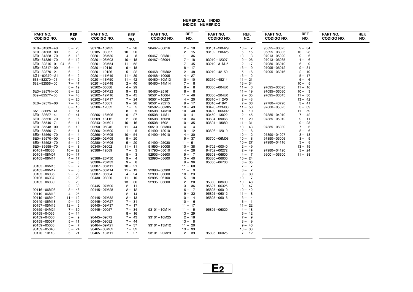#### **NUMERICAL INDEXINDICE NUMERICO**

| PART NO.<br><b>CODIGO NO.</b> | REF.<br>NO.          | <b>PART NO.</b><br><b>CODIGO NO.</b> | REF.<br>NO.            | <b>PART NO.</b><br><b>CODIGO NO.</b> | REF.<br>NO.           | PART NO.<br><b>CODIGO NO.</b> | REF.<br>NO.            | PART NO.<br><b>CODIGO NO.</b> | REF.<br>NO.            | PART NO.<br><b>CODIGO NO.</b> | REF.<br>NO. |
|-------------------------------|----------------------|--------------------------------------|------------------------|--------------------------------------|-----------------------|-------------------------------|------------------------|-------------------------------|------------------------|-------------------------------|-------------|
| 6E0-81303-40<br>6E0-81303-80  | $5 - 23$<br>$5 - 23$ | 90170-16M35<br>90185-08057           | $7 - 28$<br>$10 - 20$  | $90467 - 06016$                      | $2 - 10$<br>$2 - 15$  | 93101-20M29<br>93102-20M25    | $13 - 7$<br>$5 - 15$   | 95895-06025<br>95895-06035    | $9 - 34$<br>$10 - 28$  |                               |             |
| 6E0-81328-70                  | $5 - 13$             | 90201-06M30                          | $4 - 8$                | 90467-08M01                          | $11 - 36$             |                               | $13 - 3$               | 97013-05020                   | $9 - 6$                |                               |             |
| 6E0-81336-70                  | $5 - 12$             | 90201-08M03                          | $10 - 18$              | 90467-08004                          | $7 - 18$              | 93210-12327                   | $9 - 26$               | 97013-06035                   | 6<br>$4-$              |                               |             |
| 6E0-82316-01-94               | $6 - 3$              | $90201 - 08M54$                      | $11 - 52$              |                                      | $7 - 45$              | 93210-31MJ5                   | $2 - 17$               | 97080-06010                   | $6 - 9$                |                               |             |
| 6E0-82317-00                  | $6 - 4$              | $90201 - 10119$                      | $9 - 18$               |                                      | $8 - 17$              |                               | $13 - 9$               | 97095-06012                   | $9 - 31$               |                               |             |
| 6E3-82370-21                  | $6 - 2$              | $90201 - 10126$                      | $5 - 22$               | 90468-07M02                          | $2 - 48$              | 93210-42159                   | $5 - 16$               | 97095-06016                   | $2 - 19$               |                               |             |
| 6G1-82370-21                  | $6 - 2$              | $90201 - 11M49$                      | $11 - 39$              | $90468 - 10005$                      | $4 - 27$              |                               | $13 - 2$               |                               | $5 - 17$               |                               |             |
| $663 - 82370 - 01$            | $6 - 2$              | $90201 - 13M50$                      | $11 - 42$              | 90480-10M13                          | $10 - 10$             | 93210-48214                   | $11 - 21$              |                               | $6 -$<br>6             |                               |             |
| $682 - 82556 - 00$            | $7 - 47$             | $90201 - 32M48$                      | $2 - 40$               | 90480-14M14                          | $7 - 8$               |                               | $13 - 34$              |                               | $10 - 5$               |                               |             |
|                               | $8 - 19$             | 90202-05088                          | $4 - 29$               |                                      | $8 - 8$               | 93306-004U0                   | $11 - 6$               | 97095-06025                   | $11 - 16$              |                               |             |
| 6E3-8257H-00                  | $8 - 23$             | 90202-07M22                          | $9 - 13$               | 90480-25161                          | $6 - 8$               |                               | $11 - 19$              | 97095-06030                   | $10 - 3$               |                               |             |
| 689-8257Y-00                  | $7 - 48$             | 90202-12M16                          | $3 - 45$               | $90501 - 10064$                      | $11 - 46$             | 93306-204U0                   | $2 - 35$               | 97095-06045                   | $11 - 30$              |                               |             |
|                               | $8 - 20$             | 90202-12M17                          | $7 - 24$               | $90501 - 10227$                      | $4 - 20$              | 93310-112V0                   | $2 - 43$               |                               | $13 - 42$              |                               |             |
| 6E0-82575-00                  | $7 - 46$             | $90202 - 16061$                      | $9 - 28$               | $90501 - 23215$                      | $9 - 17$              | 93310-418V1                   | $2 - 36$               | 97780-40720                   | $3 - 41$               |                               |             |
|                               | $8 - 18$             | 90206-12052                          | $7 - 5$                | 90502-08M05                          | $10 - 49$             | 93420-22M03                   | $11 - 58$              | 97880-05025                   | $3 - 39$               |                               |             |
| $6A1 - 83625 - 41$            | $7 - 51$             |                                      | $8 - 5$                | $90508 - 14M10$                      | $10 - 40$             | 93430-06M02                   | $4 - 10$               |                               | $11 - 59$              |                               |             |
| 6E0-83627-41                  | $9 - 41$             | 90206-16M06                          | $9 - 27$               | $90508 - 14M11$                      | $10 - 41$             | 93450-13022                   | $2 - 45$               | 97885-04010                   | $7 - 42$<br>$9 - 11$   |                               |             |
| 6E0-85520-70                  | $5 - 6$              | 90209-18112                          | $2 - 38$               | 90508-16020                          | $10 - 34$             | 93604-09066                   | $11 - 29$              | 97885-05012                   |                        |                               |             |
| 6E0-85540-71<br>6E0-85548-00  | $6 - 11$<br>$6 - 10$ | 90243-04M01<br>90250-05046           | $10 - 16$<br>$11 - 44$ | 90508-16021<br>90510-08M03           | $10 - 35$<br>$4 - 4$  | 93604-18080                   | $11 - 31$<br>$13 - 43$ | 97885-06030                   | $9 - 23$<br>$7 -$<br>6 |                               |             |
| 6E0-85550-71                  | $5 - 1$              | $90266 - 04M00$                      | $1 - 5$                | 91490-12010                          | $9 - 12$              | 93606-12019                   | $2 - 6$                |                               | 6<br>$8 -$             |                               |             |
| 6E0-85560-70                  | $5 - 4$              | 90266-04M05                          | $10 - 54$              | 91490-16010                          | $4 - 30$              |                               | $10 - 2$               | 97890-04007                   | $3 - 18$               |                               |             |
| 6E0-85570-00                  | $6 - 5$              | 90269-02M09                          | $9 - 20$               |                                      | $9 - 37$              | 93700-06M03                   | $10 - 8$               | 97890-05006                   | $3 -$<br>9             |                               |             |
| 6E0-85592-70                  | $5 - 10$             | 90280-04M06                          | $5 - 20$               | 91490-25030                          | $11 - 51$             |                               | $10 - 27$              | 97980-04116                   | $3 - 8$                |                               |             |
| 6E0-85595-70                  | $5 - 8$              | 90340-08002                          | $11 - 11$              | 91690-30008                          | $10 - 38$             | 94702-00040                   | $2 - 49$               |                               | $13 - 19$              |                               |             |
| $90101 - 06335$               | $10 - 22$            | 90386-12069                          | $7 -$<br>-3            | 91790-05010                          | $4 - 28$              | 94702-00272                   | $2 - 49$               | 97980-04120                   | $3 - 24$               |                               |             |
| 90101-08M07                   | $10 - 17$            |                                      | $8 -$<br>3             | 92903-05600                          | $9 - 7$               | 95303-06600                   | $4 - 7$                | $99001 - 06600$               | $11 - 38$              |                               |             |
| 90105-06M14                   | $4 - 17$             | 90386-26M30                          | $9-$<br>$\overline{4}$ | 92990-05600                          | $3 - 40$              | 95380-06600                   | $10 - 24$              |                               |                        |                               |             |
|                               | $5 - 3$              | 90386-26M33                          | $9 - 8$                |                                      | $9 - 36$              | 95380-06700                   | $3 - 35$               |                               |                        |                               |             |
| 90105-06M16                   | $2 - 7$              | 90387-06M11                          | $10 - 21$              |                                      | $11 - 60$             |                               | $7 - 7$                |                               |                        |                               |             |
| 90105-06M17                   | $2 - 8$              | 90387-06M14                          | $11 - 13$              | 92990-06300                          | $11 - 9$              |                               | $8 - 7$                |                               |                        |                               |             |
| 90105-06035                   | $2 - 29$             | 90387-06504                          | $4 - 24$               | 92990-06600                          | $10 - 23$             |                               | $9 - 30$               |                               |                        |                               |             |
| 90105-06037                   | $2 - 28$             | 90430-08020                          | $11 - 10$              | 92995-06100                          | $5 - 18$              |                               | $10 - 7$               |                               |                        |                               |             |
| 90105-06039                   | $2 - 23$             |                                      | $13 - 30$              | 92995-06600                          | $2 - 20$              | 95380-08600                   | $10 - 48$              |                               |                        |                               |             |
|                               | $2 - 30$             | 90445-07M00                          | $2 - 11$               |                                      | $3 - 36$              | 95627-06325                   | $3 - 47$               |                               |                        |                               |             |
| 90116-06M08                   | $3 - 48$             | 90445-07M28                          | $2 - 12$               |                                      | $6 - 7$               | 95895-06010                   | $10 - 42$              |                               |                        |                               |             |
| 90119-06M18                   | $4 - 25$             |                                      | $2 - 14$               |                                      | $9 - 32$              | 95895-06012                   | $11 - 8$               |                               |                        |                               |             |
| 90119-06M40                   | $11 - 12$            | 90445-07M32                          | $2 - 13$               |                                      | $10 - 4$              | 95895-06016                   | $3 - 4$                |                               |                        |                               |             |
| 90149-05M13                   | $9 - 19$             | 90445-09M27                          | $7 - 31$               |                                      | $10 - 6$              |                               | $6 - 1$                |                               |                        |                               |             |
| 90157-05M16                   | $12 - 5$             | 90445-09M37                          | $7 - 17$               |                                      | $11 - 17$             |                               | $11 - 22$              |                               |                        |                               |             |
| 90159-04M24                   | $7 - 30$             | 90445-09057                          | $7 - 34$               | 93101-10M14                          | $11 - 5$              | 95895-06020                   | $4 - 18$               |                               |                        |                               |             |
| 90159-04035                   | $5 - 14$             |                                      | $8 - 16$               |                                      | $13 - 29$             |                               | $6 - 12$               |                               |                        |                               |             |
| 90159-04036                   | $5 - 9$              | 90445-09072                          | $7 - 43$               | 93101-10M25                          | $2 - 18$              |                               | $7 - 9$                |                               |                        |                               |             |
| 90159-05037                   | $5 - 11$             | 90445-09082                          | $7 - 44$               |                                      | $13 - 8$              |                               | $8 - 9$                |                               |                        |                               |             |
| 90159-05038                   | $5 - 7$              | 90464-09M21                          | $7 - 37$               | 93101-13M12                          | $11 - 20$             |                               | $9 - 40$               |                               |                        |                               |             |
| 90159-05040<br>90170-10113    | $5 - 24$<br>$5 - 21$ | 90465-08M62<br>90465-13M11           | $7 - 32$<br>$7 - 27$   | 93101-20M29                          | $13 - 33$<br>$2 - 39$ | 95895-06025                   | $10 - 33$<br>$7 - 12$  |                               |                        |                               |             |
|                               |                      |                                      |                        |                                      |                       |                               |                        |                               |                        |                               |             |